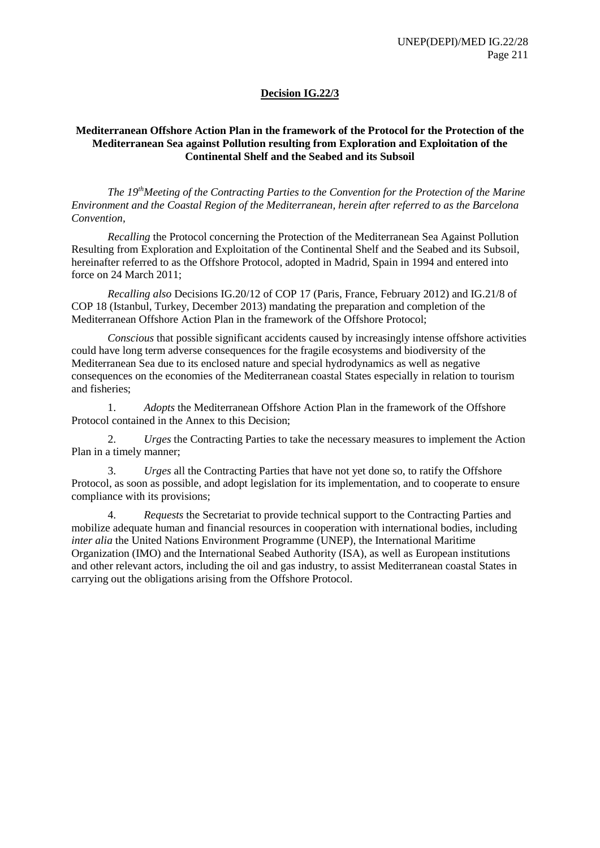## **Decision IG.22/3**

### **Mediterranean Offshore Action Plan in the framework of the Protocol for the Protection of the Mediterranean Sea against Pollution resulting from Exploration and Exploitation of the Continental Shelf and the Seabed and its Subsoil**

*The 19thMeeting of the Contracting Parties to the Convention for the Protection of the Marine Environment and the Coastal Region of the Mediterranean, herein after referred to as the Barcelona Convention,*

*Recalling* the Protocol concerning the Protection of the Mediterranean Sea Against Pollution Resulting from Exploration and Exploitation of the Continental Shelf and the Seabed and its Subsoil, hereinafter referred to as the Offshore Protocol, adopted in Madrid, Spain in 1994 and entered into force on 24 March 2011;

*Recalling also* Decisions IG.20/12 of COP 17 (Paris, France, February 2012) and IG.21/8 of COP 18 (Istanbul, Turkey, December 2013) mandating the preparation and completion of the Mediterranean Offshore Action Plan in the framework of the Offshore Protocol;

*Conscious* that possible significant accidents caused by increasingly intense offshore activities could have long term adverse consequences for the fragile ecosystems and biodiversity of the Mediterranean Sea due to its enclosed nature and special hydrodynamics as well as negative consequences on the economies of the Mediterranean coastal States especially in relation to tourism and fisheries;

1. *Adopts* the Mediterranean Offshore Action Plan in the framework of the Offshore Protocol contained in the Annex to this Decision;

2. *Urges* the Contracting Parties to take the necessary measures to implement the Action Plan in a timely manner;

3. *Urges* all the Contracting Parties that have not yet done so, to ratify the Offshore Protocol, as soon as possible, and adopt legislation for its implementation, and to cooperate to ensure compliance with its provisions;

4. *Requests* the Secretariat to provide technical support to the Contracting Parties and mobilize adequate human and financial resources in cooperation with international bodies, including *inter alia* the United Nations Environment Programme (UNEP), the International Maritime Organization (IMO) and the International Seabed Authority (ISA), as well as European institutions and other relevant actors, including the oil and gas industry, to assist Mediterranean coastal States in carrying out the obligations arising from the Offshore Protocol.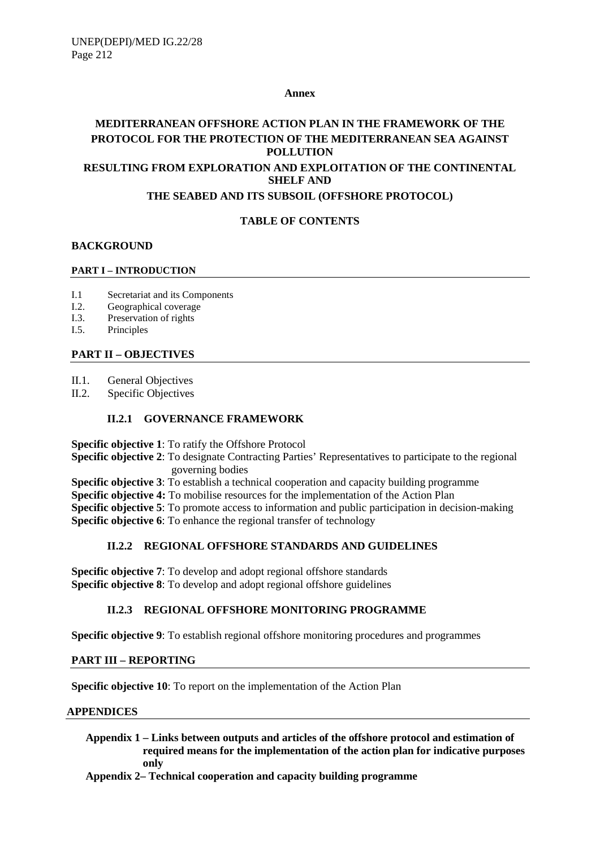#### **Annex**

# **MEDITERRANEAN OFFSHORE ACTION PLAN IN THE FRAMEWORK OF THE PROTOCOL FOR THE PROTECTION OF THE MEDITERRANEAN SEA AGAINST POLLUTION RESULTING FROM EXPLORATION AND EXPLOITATION OF THE CONTINENTAL SHELF AND**

### **THE SEABED AND ITS SUBSOIL (OFFSHORE PROTOCOL)**

# **TABLE OF CONTENTS**

### **BACKGROUND**

#### **PART I – INTRODUCTION**

- I.1 Secretariat and its Components
- I.2. Geographical coverage
- I.3. Preservation of rights
- I.5. Principles

# **PART II – OBJECTIVES**

II.1. General Objectives

II.2. Specific Objectives

### **II.2.1 GOVERNANCE FRAMEWORK**

**Specific objective 1**: To ratify the Offshore Protocol

**Specific objective 2**: To designate Contracting Parties' Representatives to participate to the regional governing bodies

**Specific objective 3**: To establish a technical cooperation and capacity building programme

**Specific objective 4:** To mobilise resources for the implementation of the Action Plan

**Specific objective 5**: To promote access to information and public participation in decision-making **Specific objective 6**: To enhance the regional transfer of technology

#### **II.2.2 REGIONAL OFFSHORE STANDARDS AND GUIDELINES**

**Specific objective 7**: To develop and adopt regional offshore standards **Specific objective 8**: To develop and adopt regional offshore guidelines

#### **II.2.3 REGIONAL OFFSHORE MONITORING PROGRAMME**

**Specific objective 9**: To establish regional offshore monitoring procedures and programmes

#### **PART III – REPORTING**

**Specific objective 10**: To report on the implementation of the Action Plan

#### **APPENDICES**

**Appendix 1 – Links between outputs and articles of the offshore protocol and estimation of required means for the implementation of the action plan for indicative purposes only**

**Appendix 2– Technical cooperation and capacity building programme**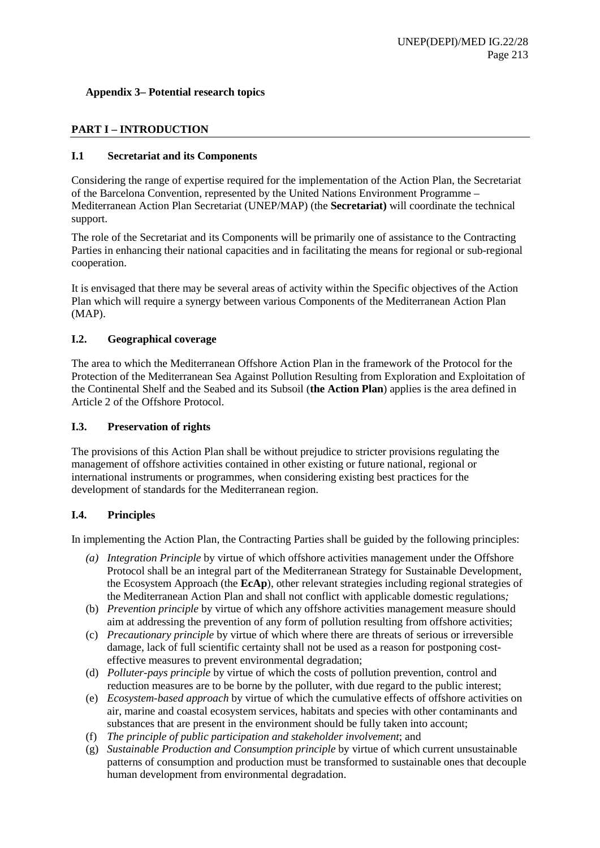### **Appendix 3– Potential research topics**

## **PART I – INTRODUCTION**

### **I.1 Secretariat and its Components**

Considering the range of expertise required for the implementation of the Action Plan, the Secretariat of the Barcelona Convention, represented by the United Nations Environment Programme – Mediterranean Action Plan Secretariat (UNEP/MAP) (the **Secretariat)** will coordinate the technical support.

The role of the Secretariat and its Components will be primarily one of assistance to the Contracting Parties in enhancing their national capacities and in facilitating the means for regional or sub-regional cooperation.

It is envisaged that there may be several areas of activity within the Specific objectives of the Action Plan which will require a synergy between various Components of the Mediterranean Action Plan (MAP).

### **I.2. Geographical coverage**

The area to which the Mediterranean Offshore Action Plan in the framework of the Protocol for the Protection of the Mediterranean Sea Against Pollution Resulting from Exploration and Exploitation of the Continental Shelf and the Seabed and its Subsoil (**the Action Plan**) applies is the area defined in Article 2 of the Offshore Protocol.

#### **I.3. Preservation of rights**

The provisions of this Action Plan shall be without prejudice to stricter provisions regulating the management of offshore activities contained in other existing or future national, regional or international instruments or programmes, when considering existing best practices for the development of standards for the Mediterranean region.

#### **I.4. Principles**

In implementing the Action Plan, the Contracting Parties shall be guided by the following principles:

- *(a) Integration Principle* by virtue of which offshore activities management under the Offshore Protocol shall be an integral part of the Mediterranean Strategy for Sustainable Development, the Ecosystem Approach (the **EcAp**), other relevant strategies including regional strategies of the Mediterranean Action Plan and shall not conflict with applicable domestic regulations*;*
- (b) *Prevention principle* by virtue of which any offshore activities management measure should aim at addressing the prevention of any form of pollution resulting from offshore activities;
- (c) *Precautionary principle* by virtue of which where there are threats of serious or irreversible damage, lack of full scientific certainty shall not be used as a reason for postponing costeffective measures to prevent environmental degradation;
- (d) *Polluter-pays principle* by virtue of which the costs of pollution prevention, control and reduction measures are to be borne by the polluter, with due regard to the public interest;
- (e) *Ecosystem-based approach* by virtue of which the cumulative effects of offshore activities on air, marine and coastal ecosystem services, habitats and species with other contaminants and substances that are present in the environment should be fully taken into account;
- (f) *The principle of public participation and stakeholder involvement*; and
- (g) *Sustainable Production and Consumption principle* by virtue of which current unsustainable patterns of consumption and production must be transformed to sustainable ones that decouple human development from environmental degradation.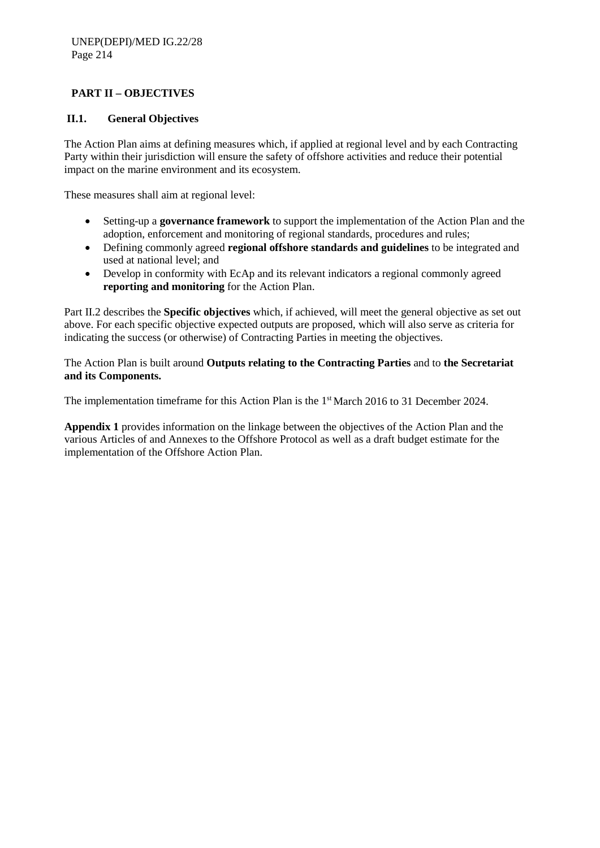# **PART II – OBJECTIVES**

## **II.1. General Objectives**

The Action Plan aims at defining measures which, if applied at regional level and by each Contracting Party within their jurisdiction will ensure the safety of offshore activities and reduce their potential impact on the marine environment and its ecosystem.

These measures shall aim at regional level:

- Setting-up a **governance framework** to support the implementation of the Action Plan and the adoption, enforcement and monitoring of regional standards, procedures and rules;
- Defining commonly agreed **regional offshore standards and guidelines** to be integrated and used at national level; and
- Develop in conformity with EcAp and its relevant indicators a regional commonly agreed **reporting and monitoring** for the Action Plan.

Part II.2 describes the **Specific objectives** which, if achieved, will meet the general objective as set out above. For each specific objective expected outputs are proposed, which will also serve as criteria for indicating the success (or otherwise) of Contracting Parties in meeting the objectives.

The Action Plan is built around **Outputs relating to the Contracting Parties** and to **the Secretariat and its Components.**

The implementation timeframe for this Action Plan is the 1<sup>st</sup> March 2016 to 31 December 2024.

**Appendix 1** provides information on the linkage between the objectives of the Action Plan and the various Articles of and Annexes to the Offshore Protocol as well as a draft budget estimate for the implementation of the Offshore Action Plan.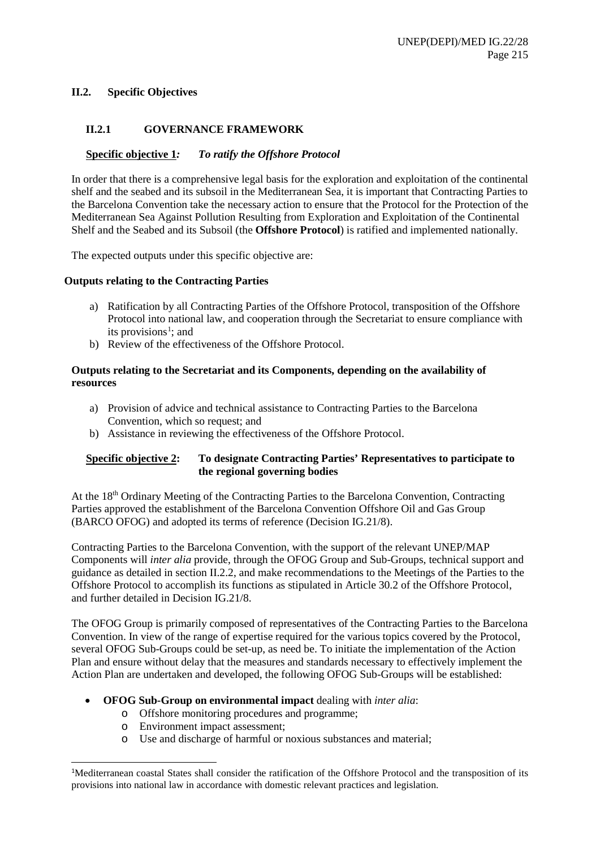#### **II.2. Specific Objectives**

#### **II.2.1 GOVERNANCE FRAMEWORK**

#### **Specific objective 1***: To ratify the Offshore Protocol*

In order that there is a comprehensive legal basis for the exploration and exploitation of the continental shelf and the seabed and its subsoil in the Mediterranean Sea, it is important that Contracting Parties to the Barcelona Convention take the necessary action to ensure that the Protocol for the Protection of the Mediterranean Sea Against Pollution Resulting from Exploration and Exploitation of the Continental Shelf and the Seabed and its Subsoil (the **Offshore Protocol**) is ratified and implemented nationally.

The expected outputs under this specific objective are:

#### **Outputs relating to the Contracting Parties**

- a) Ratification by all Contracting Parties of the Offshore Protocol, transposition of the Offshore Protocol into national law, and cooperation through the Secretariat to ensure compliance with its provisions<sup>1</sup>; and
- b) Review of the effectiveness of the Offshore Protocol.

#### **Outputs relating to the Secretariat and its Components, depending on the availability of resources**

- a) Provision of advice and technical assistance to Contracting Parties to the Barcelona Convention, which so request; and
- b) Assistance in reviewing the effectiveness of the Offshore Protocol.

### **Specific objective 2: To designate Contracting Parties' Representatives to participate to the regional governing bodies**

At the 18th Ordinary Meeting of the Contracting Parties to the Barcelona Convention, Contracting Parties approved the establishment of the Barcelona Convention Offshore Oil and Gas Group (BARCO OFOG) and adopted its terms of reference (Decision IG.21/8).

Contracting Parties to the Barcelona Convention, with the support of the relevant UNEP/MAP Components will *inter alia* provide, through the OFOG Group and Sub-Groups, technical support and guidance as detailed in section II.2.2, and make recommendations to the Meetings of the Parties to the Offshore Protocol to accomplish its functions as stipulated in Article 30.2 of the Offshore Protocol, and further detailed in Decision IG.21/8.

The OFOG Group is primarily composed of representatives of the Contracting Parties to the Barcelona Convention. In view of the range of expertise required for the various topics covered by the Protocol, several OFOG Sub-Groups could be set-up, as need be. To initiate the implementation of the Action Plan and ensure without delay that the measures and standards necessary to effectively implement the Action Plan are undertaken and developed, the following OFOG Sub-Groups will be established:

#### • **OFOG Sub-Group on environmental impact** dealing with *inter alia*:

- o Offshore monitoring procedures and programme;
- o Environment impact assessment;

1

o Use and discharge of harmful or noxious substances and material;

<span id="page-4-0"></span><sup>1</sup> Mediterranean coastal States shall consider the ratification of the Offshore Protocol and the transposition of its provisions into national law in accordance with domestic relevant practices and legislation.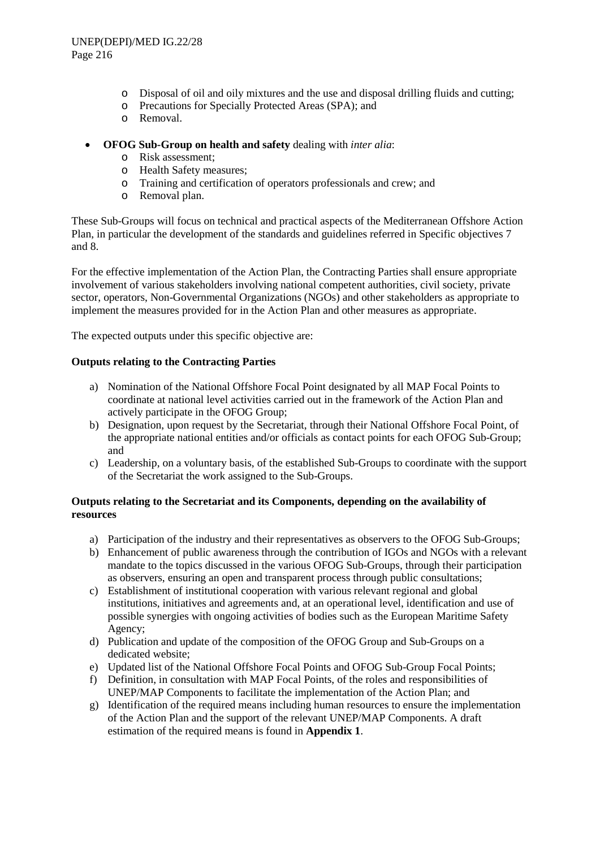- o Disposal of oil and oily mixtures and the use and disposal drilling fluids and cutting;
- o Precautions for Specially Protected Areas (SPA); and
- o Removal.
- **OFOG Sub-Group on health and safety** dealing with *inter alia*:
	- o Risk assessment;
	- o Health Safety measures;
	- o Training and certification of operators professionals and crew; and
	- o Removal plan.

These Sub-Groups will focus on technical and practical aspects of the Mediterranean Offshore Action Plan, in particular the development of the standards and guidelines referred in Specific objectives 7 and 8.

For the effective implementation of the Action Plan, the Contracting Parties shall ensure appropriate involvement of various stakeholders involving national competent authorities, civil society, private sector, operators, Non-Governmental Organizations (NGOs) and other stakeholders as appropriate to implement the measures provided for in the Action Plan and other measures as appropriate.

The expected outputs under this specific objective are:

#### **Outputs relating to the Contracting Parties**

- a) Nomination of the National Offshore Focal Point designated by all MAP Focal Points to coordinate at national level activities carried out in the framework of the Action Plan and actively participate in the OFOG Group;
- b) Designation, upon request by the Secretariat, through their National Offshore Focal Point, of the appropriate national entities and/or officials as contact points for each OFOG Sub-Group; and
- c) Leadership, on a voluntary basis, of the established Sub-Groups to coordinate with the support of the Secretariat the work assigned to the Sub-Groups.

- a) Participation of the industry and their representatives as observers to the OFOG Sub-Groups;
- b) Enhancement of public awareness through the contribution of IGOs and NGOs with a relevant mandate to the topics discussed in the various OFOG Sub-Groups, through their participation as observers, ensuring an open and transparent process through public consultations;
- c) Establishment of institutional cooperation with various relevant regional and global institutions, initiatives and agreements and, at an operational level, identification and use of possible synergies with ongoing activities of bodies such as the European Maritime Safety Agency;
- d) Publication and update of the composition of the OFOG Group and Sub-Groups on a dedicated website;
- e) Updated list of the National Offshore Focal Points and OFOG Sub-Group Focal Points;
- f) Definition, in consultation with MAP Focal Points, of the roles and responsibilities of UNEP/MAP Components to facilitate the implementation of the Action Plan; and
- g) Identification of the required means including human resources to ensure the implementation of the Action Plan and the support of the relevant UNEP/MAP Components. A draft estimation of the required means is found in **Appendix 1**.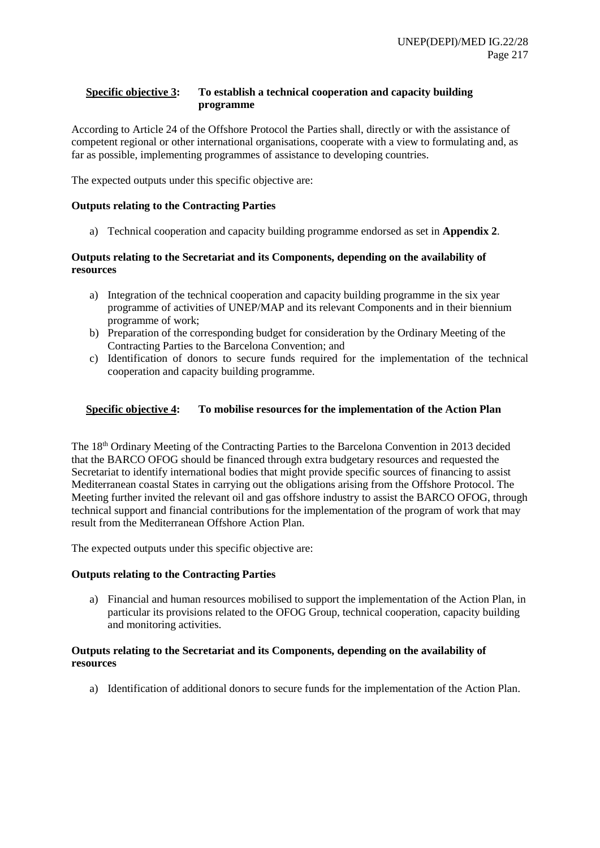### **Specific objective 3: To establish a technical cooperation and capacity building programme**

According to Article 24 of the Offshore Protocol the Parties shall, directly or with the assistance of competent regional or other international organisations, cooperate with a view to formulating and, as far as possible, implementing programmes of assistance to developing countries.

The expected outputs under this specific objective are:

#### **Outputs relating to the Contracting Parties**

a) Technical cooperation and capacity building programme endorsed as set in **Appendix 2**.

#### **Outputs relating to the Secretariat and its Components, depending on the availability of resources**

- a) Integration of the technical cooperation and capacity building programme in the six year programme of activities of UNEP/MAP and its relevant Components and in their biennium programme of work;
- b) Preparation of the corresponding budget for consideration by the Ordinary Meeting of the Contracting Parties to the Barcelona Convention; and
- c) Identification of donors to secure funds required for the implementation of the technical cooperation and capacity building programme.

#### **Specific objective 4: To mobilise resources for the implementation of the Action Plan**

The 18th Ordinary Meeting of the Contracting Parties to the Barcelona Convention in 2013 decided that the BARCO OFOG should be financed through extra budgetary resources and requested the Secretariat to identify international bodies that might provide specific sources of financing to assist Mediterranean coastal States in carrying out the obligations arising from the Offshore Protocol. The Meeting further invited the relevant oil and gas offshore industry to assist the BARCO OFOG, through technical support and financial contributions for the implementation of the program of work that may result from the Mediterranean Offshore Action Plan.

The expected outputs under this specific objective are:

#### **Outputs relating to the Contracting Parties**

a) Financial and human resources mobilised to support the implementation of the Action Plan, in particular its provisions related to the OFOG Group, technical cooperation, capacity building and monitoring activities.

#### **Outputs relating to the Secretariat and its Components, depending on the availability of resources**

a) Identification of additional donors to secure funds for the implementation of the Action Plan.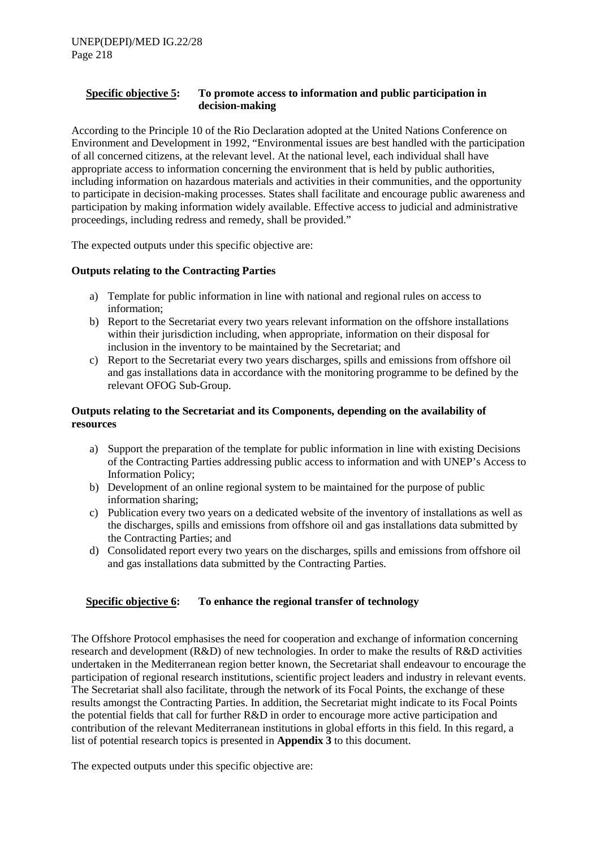### **Specific objective 5: To promote access to information and public participation in decision-making**

According to the Principle 10 of the Rio Declaration adopted at the United Nations Conference on Environment and Development in 1992, "Environmental issues are best handled with the participation of all concerned citizens, at the relevant level. At the national level, each individual shall have appropriate access to information concerning the environment that is held by public authorities, including information on hazardous materials and activities in their communities, and the opportunity to participate in decision-making processes. States shall facilitate and encourage public awareness and participation by making information widely available. Effective access to judicial and administrative proceedings, including redress and remedy, shall be provided."

The expected outputs under this specific objective are:

#### **Outputs relating to the Contracting Parties**

- a) Template for public information in line with national and regional rules on access to information;
- b) Report to the Secretariat every two years relevant information on the offshore installations within their jurisdiction including, when appropriate, information on their disposal for inclusion in the inventory to be maintained by the Secretariat; and
- c) Report to the Secretariat every two years discharges, spills and emissions from offshore oil and gas installations data in accordance with the monitoring programme to be defined by the relevant OFOG Sub-Group.

### **Outputs relating to the Secretariat and its Components, depending on the availability of resources**

- a) Support the preparation of the template for public information in line with existing Decisions of the Contracting Parties addressing public access to information and with UNEP's Access to Information Policy;
- b) Development of an online regional system to be maintained for the purpose of public information sharing;
- c) Publication every two years on a dedicated website of the inventory of installations as well as the discharges, spills and emissions from offshore oil and gas installations data submitted by the Contracting Parties; and
- d) Consolidated report every two years on the discharges, spills and emissions from offshore oil and gas installations data submitted by the Contracting Parties.

#### **Specific objective 6: To enhance the regional transfer of technology**

The Offshore Protocol emphasises the need for cooperation and exchange of information concerning research and development (R&D) of new technologies. In order to make the results of R&D activities undertaken in the Mediterranean region better known, the Secretariat shall endeavour to encourage the participation of regional research institutions, scientific project leaders and industry in relevant events. The Secretariat shall also facilitate, through the network of its Focal Points, the exchange of these results amongst the Contracting Parties. In addition, the Secretariat might indicate to its Focal Points the potential fields that call for further R&D in order to encourage more active participation and contribution of the relevant Mediterranean institutions in global efforts in this field. In this regard, a list of potential research topics is presented in **Appendix 3** to this document.

The expected outputs under this specific objective are: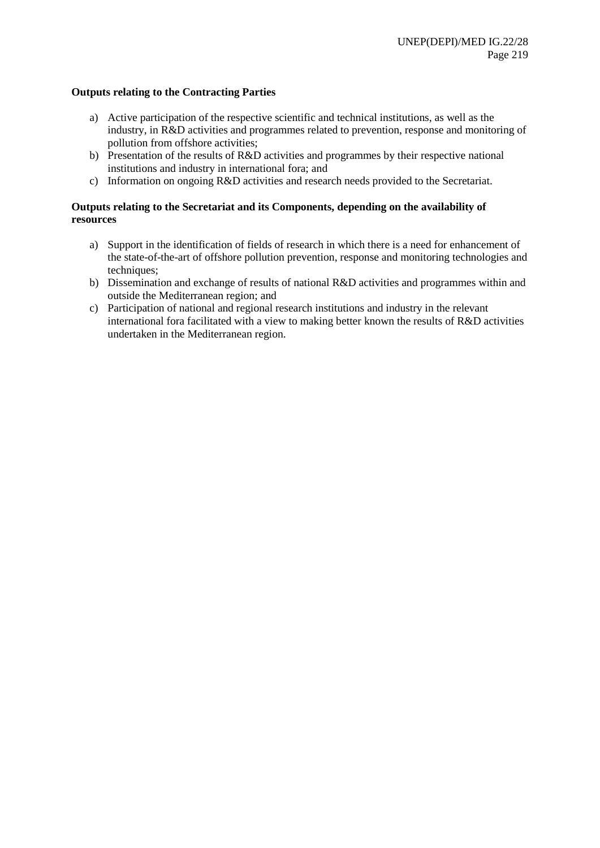#### **Outputs relating to the Contracting Parties**

- a) Active participation of the respective scientific and technical institutions, as well as the industry, in R&D activities and programmes related to prevention, response and monitoring of pollution from offshore activities;
- b) Presentation of the results of R&D activities and programmes by their respective national institutions and industry in international fora; and
- c) Information on ongoing R&D activities and research needs provided to the Secretariat.

- a) Support in the identification of fields of research in which there is a need for enhancement of the state-of-the-art of offshore pollution prevention, response and monitoring technologies and techniques;
- b) Dissemination and exchange of results of national R&D activities and programmes within and outside the Mediterranean region; and
- c) Participation of national and regional research institutions and industry in the relevant international fora facilitated with a view to making better known the results of R&D activities undertaken in the Mediterranean region.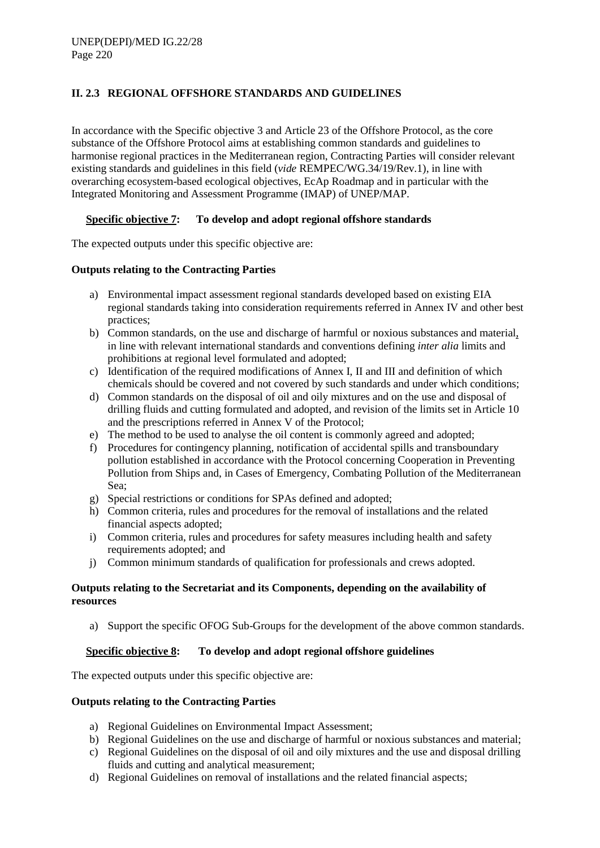# **II. 2.3 REGIONAL OFFSHORE STANDARDS AND GUIDELINES**

In accordance with the Specific objective 3 and Article 23 of the Offshore Protocol, as the core substance of the Offshore Protocol aims at establishing common standards and guidelines to harmonise regional practices in the Mediterranean region, Contracting Parties will consider relevant existing standards and guidelines in this field (*vide* REMPEC/WG.34/19/Rev.1), in line with overarching ecosystem-based ecological objectives, EcAp Roadmap and in particular with the Integrated Monitoring and Assessment Programme (IMAP) of UNEP/MAP.

# **Specific objective 7: To develop and adopt regional offshore standards**

The expected outputs under this specific objective are:

### **Outputs relating to the Contracting Parties**

- a) Environmental impact assessment regional standards developed based on existing EIA regional standards taking into consideration requirements referred in Annex IV and other best practices;
- b) Common standards, on the use and discharge of harmful or noxious substances and material, in line with relevant international standards and conventions defining *inter alia* limits and prohibitions at regional level formulated and adopted;
- c) Identification of the required modifications of Annex I, II and III and definition of which chemicals should be covered and not covered by such standards and under which conditions;
- d) Common standards on the disposal of oil and oily mixtures and on the use and disposal of drilling fluids and cutting formulated and adopted, and revision of the limits set in Article 10 and the prescriptions referred in Annex V of the Protocol;
- e) The method to be used to analyse the oil content is commonly agreed and adopted;
- f) Procedures for contingency planning, notification of accidental spills and transboundary pollution established in accordance with the Protocol concerning Cooperation in Preventing Pollution from Ships and, in Cases of Emergency, Combating Pollution of the Mediterranean Sea;
- g) Special restrictions or conditions for SPAs defined and adopted;
- h) Common criteria, rules and procedures for the removal of installations and the related financial aspects adopted;
- i) Common criteria, rules and procedures for safety measures including health and safety requirements adopted; and
- j) Common minimum standards of qualification for professionals and crews adopted.

### **Outputs relating to the Secretariat and its Components, depending on the availability of resources**

a) Support the specific OFOG Sub-Groups for the development of the above common standards.

# **Specific objective 8: To develop and adopt regional offshore guidelines**

The expected outputs under this specific objective are:

#### **Outputs relating to the Contracting Parties**

- a) Regional Guidelines on Environmental Impact Assessment;
- b) Regional Guidelines on the use and discharge of harmful or noxious substances and material;
- c) Regional Guidelines on the disposal of oil and oily mixtures and the use and disposal drilling fluids and cutting and analytical measurement;
- d) Regional Guidelines on removal of installations and the related financial aspects;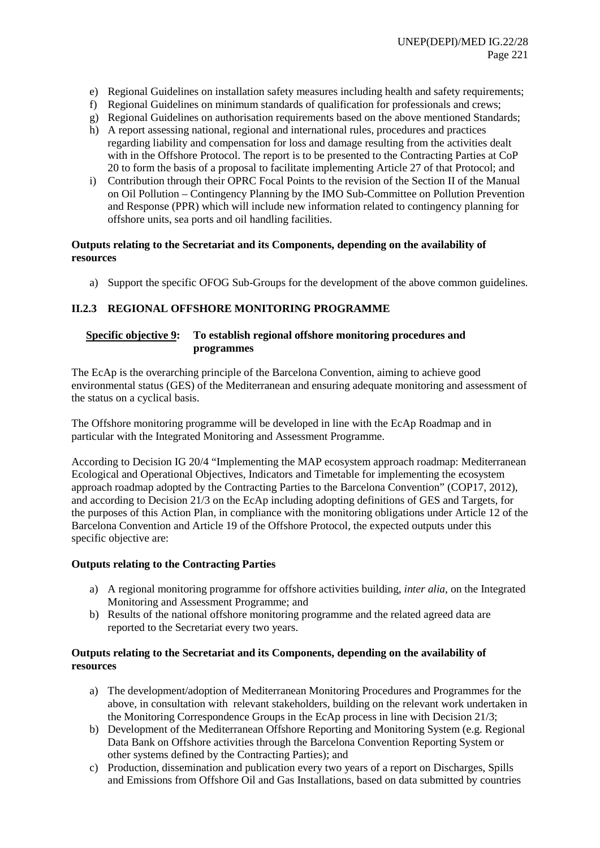- e) Regional Guidelines on installation safety measures including health and safety requirements;
- f) Regional Guidelines on minimum standards of qualification for professionals and crews;
- g) Regional Guidelines on authorisation requirements based on the above mentioned Standards;
- h) A report assessing national, regional and international rules, procedures and practices regarding liability and compensation for loss and damage resulting from the activities dealt with in the Offshore Protocol. The report is to be presented to the Contracting Parties at CoP 20 to form the basis of a proposal to facilitate implementing Article 27 of that Protocol; and
- i) Contribution through their OPRC Focal Points to the revision of the Section II of the Manual on Oil Pollution – Contingency Planning by the IMO Sub-Committee on Pollution Prevention and Response (PPR) which will include new information related to contingency planning for offshore units, sea ports and oil handling facilities.

## **Outputs relating to the Secretariat and its Components, depending on the availability of resources**

a) Support the specific OFOG Sub-Groups for the development of the above common guidelines.

# **II.2.3 REGIONAL OFFSHORE MONITORING PROGRAMME**

## **Specific objective 9: To establish regional offshore monitoring procedures and programmes**

The EcAp is the overarching principle of the Barcelona Convention, aiming to achieve good environmental status (GES) of the Mediterranean and ensuring adequate monitoring and assessment of the status on a cyclical basis.

The Offshore monitoring programme will be developed in line with the EcAp Roadmap and in particular with the Integrated Monitoring and Assessment Programme.

According to Decision IG 20/4 "Implementing the MAP ecosystem approach roadmap: Mediterranean Ecological and Operational Objectives, Indicators and Timetable for implementing the ecosystem approach roadmap adopted by the Contracting Parties to the Barcelona Convention" (COP17, 2012), and according to Decision 21/3 on the EcAp including adopting definitions of GES and Targets, for the purposes of this Action Plan, in compliance with the monitoring obligations under Article 12 of the Barcelona Convention and Article 19 of the Offshore Protocol, the expected outputs under this specific objective are:

# **Outputs relating to the Contracting Parties**

- a) A regional monitoring programme for offshore activities building, *inter alia*, on the Integrated Monitoring and Assessment Programme; and
- b) Results of the national offshore monitoring programme and the related agreed data are reported to the Secretariat every two years.

- a) The development/adoption of Mediterranean Monitoring Procedures and Programmes for the above, in consultation with relevant stakeholders, building on the relevant work undertaken in the Monitoring Correspondence Groups in the EcAp process in line with Decision 21/3;
- b) Development of the Mediterranean Offshore Reporting and Monitoring System (e.g. Regional Data Bank on Offshore activities through the Barcelona Convention Reporting System or other systems defined by the Contracting Parties); and
- c) Production, dissemination and publication every two years of a report on Discharges, Spills and Emissions from Offshore Oil and Gas Installations, based on data submitted by countries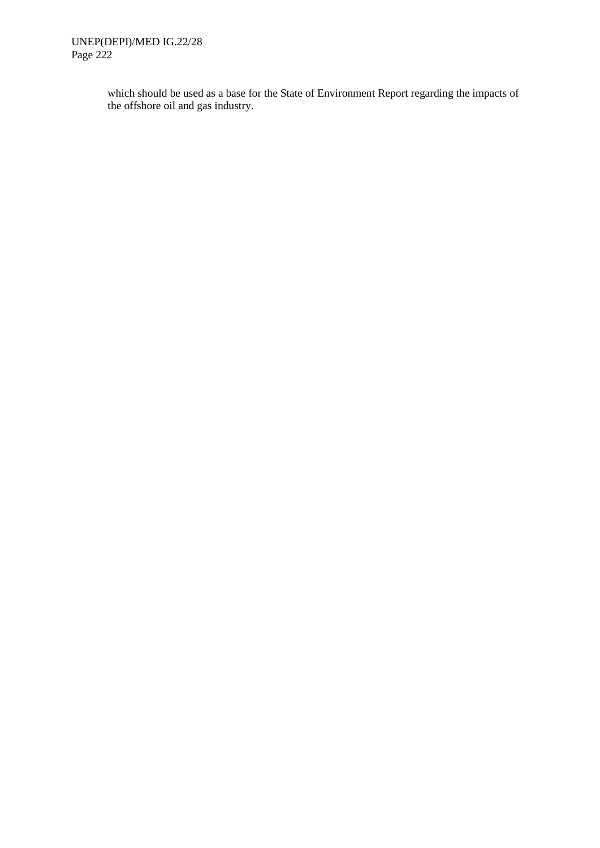which should be used as a base for the State of Environment Report regarding the impacts of the offshore oil and gas industry.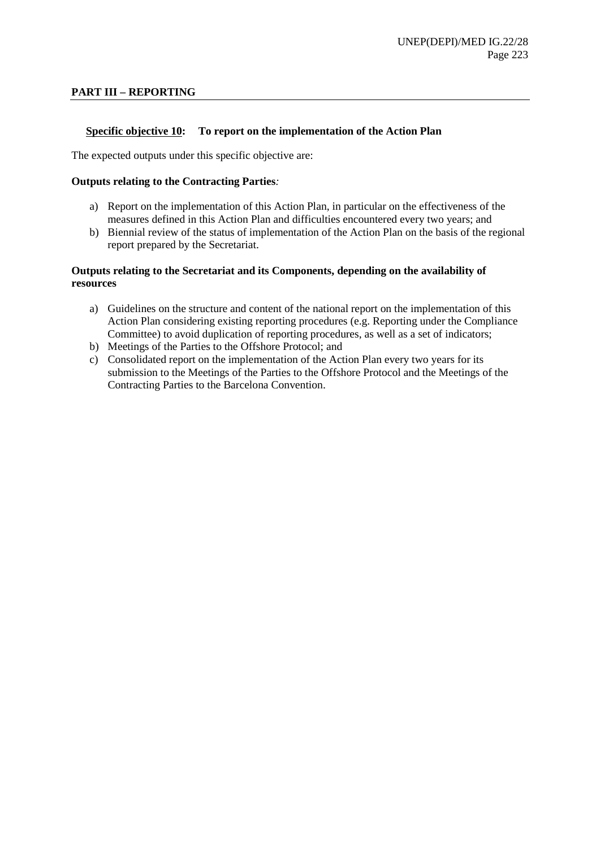### **PART III – REPORTING**

### **Specific objective 10: To report on the implementation of the Action Plan**

The expected outputs under this specific objective are:

#### **Outputs relating to the Contracting Parties***:*

- a) Report on the implementation of this Action Plan, in particular on the effectiveness of the measures defined in this Action Plan and difficulties encountered every two years; and
- b) Biennial review of the status of implementation of the Action Plan on the basis of the regional report prepared by the Secretariat.

- a) Guidelines on the structure and content of the national report on the implementation of this Action Plan considering existing reporting procedures (e.g. Reporting under the Compliance Committee) to avoid duplication of reporting procedures, as well as a set of indicators;
- b) Meetings of the Parties to the Offshore Protocol; and
- c) Consolidated report on the implementation of the Action Plan every two years for its submission to the Meetings of the Parties to the Offshore Protocol and the Meetings of the Contracting Parties to the Barcelona Convention.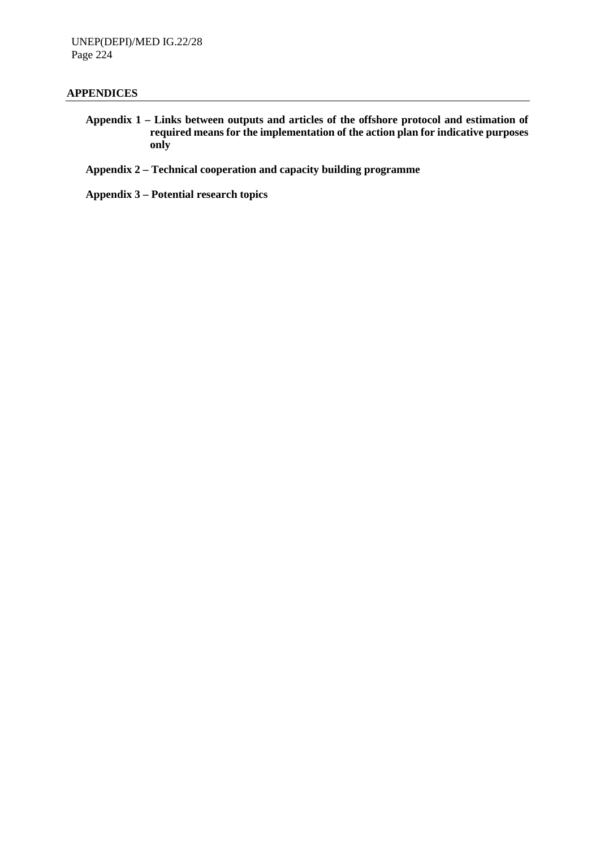#### **APPENDICES**

- **Appendix 1 – Links between outputs and articles of the offshore protocol and estimation of required means for the implementation of the action plan for indicative purposes only**
- **Appendix 2 – Technical cooperation and capacity building programme**
- **Appendix 3 – Potential research topics**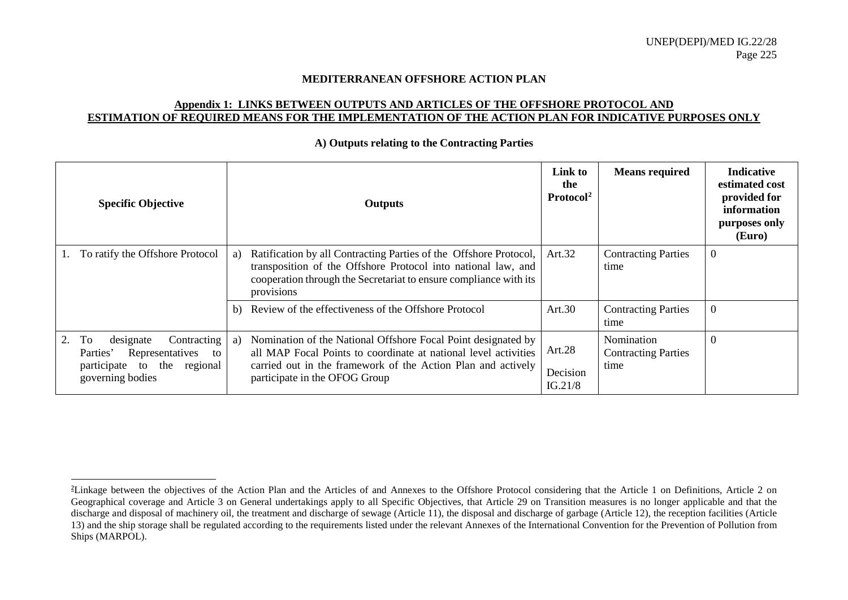#### <span id="page-14-0"></span>**MEDITERRANEAN OFFSHORE ACTION PLAN**

### **Appendix 1: LINKS BETWEEN OUTPUTS AND ARTICLES OF THE OFFSHORE PROTOCOL AND ESTIMATION OF REQUIRED MEANS FOR THE IMPLEMENTATION OF THE ACTION PLAN FOR INDICATIVE PURPOSES ONLY**

|    | <b>Specific Objective</b>                                                                                                 |    | <b>Outputs</b>                                                                                                                                                                                                                    | Link to<br>the<br>Protocol <sup>2</sup> | <b>Means required</b>                            | <b>Indicative</b><br>estimated cost<br>provided for<br>information<br>purposes only<br>(Euro) |
|----|---------------------------------------------------------------------------------------------------------------------------|----|-----------------------------------------------------------------------------------------------------------------------------------------------------------------------------------------------------------------------------------|-----------------------------------------|--------------------------------------------------|-----------------------------------------------------------------------------------------------|
|    | To ratify the Offshore Protocol                                                                                           | a) | Ratification by all Contracting Parties of the Offshore Protocol,<br>transposition of the Offshore Protocol into national law, and<br>cooperation through the Secretariat to ensure compliance with its<br>provisions             | Art.32                                  | <b>Contracting Parties</b><br>time               | $\boldsymbol{0}$                                                                              |
|    |                                                                                                                           | b) | Review of the effectiveness of the Offshore Protocol                                                                                                                                                                              | Art.30                                  | <b>Contracting Parties</b><br>time               | $\mathbf{0}$                                                                                  |
| 2. | To<br>designate<br>Contracting<br>Representatives<br>Parties'<br>to<br>participate to the<br>regional<br>governing bodies | a) | Nomination of the National Offshore Focal Point designated by<br>all MAP Focal Points to coordinate at national level activities<br>carried out in the framework of the Action Plan and actively<br>participate in the OFOG Group | Art.28<br>Decision<br>IG.21/8           | Nomination<br><b>Contracting Parties</b><br>time | $\boldsymbol{0}$                                                                              |

<span id="page-14-1"></span>**A) Outputs relating to the Contracting Parties**

 $\overline{a}$ 

<sup>2</sup> Linkage between the objectives of the Action Plan and the Articles of and Annexes to the Offshore Protocol considering that the Article 1 on Definitions, Article 2 on Geographical coverage and Article 3 on General undertakings apply to all Specific Objectives, that Article 29 on Transition measures is no longer applicable and that the discharge and disposal of machinery oil, the treatment and discharge of sewage (Article 11), the disposal and discharge of garbage (Article 12), the reception facilities (Article 13) and the ship storage shall be regulated according to the requirements listed under the relevant Annexes of the International Convention for the Prevention of Pollution from Ships (MARPOL).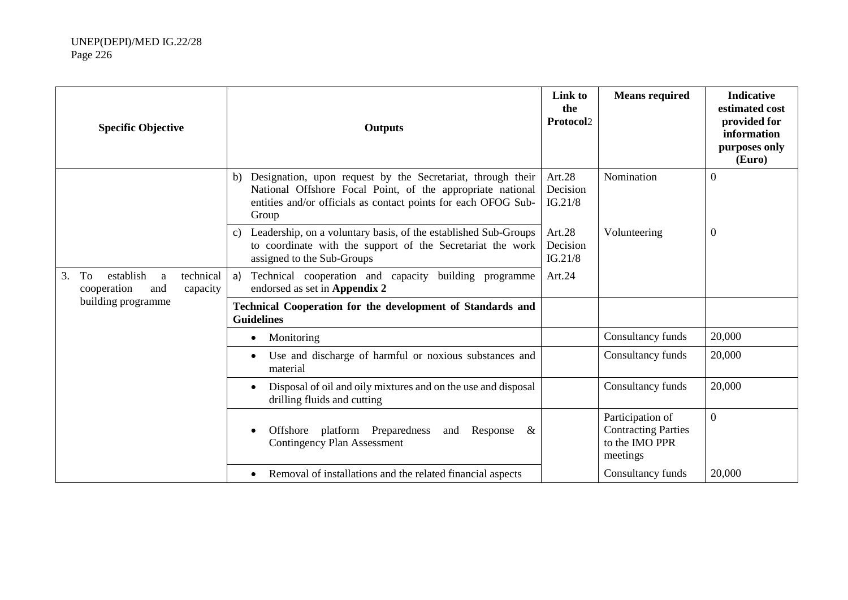| <b>Specific Objective</b>                                                            | <b>Outputs</b>                                                                                                                                                                                             | Link to<br>the<br>Protocol2   | <b>Means required</b>                                                        | <b>Indicative</b><br>estimated cost<br>provided for<br>information<br>purposes only<br>(Euro) |
|--------------------------------------------------------------------------------------|------------------------------------------------------------------------------------------------------------------------------------------------------------------------------------------------------------|-------------------------------|------------------------------------------------------------------------------|-----------------------------------------------------------------------------------------------|
|                                                                                      | Designation, upon request by the Secretariat, through their<br>b)<br>National Offshore Focal Point, of the appropriate national<br>entities and/or officials as contact points for each OFOG Sub-<br>Group | Art.28<br>Decision<br>IG.21/8 | Nomination                                                                   | $\boldsymbol{0}$                                                                              |
|                                                                                      | Leadership, on a voluntary basis, of the established Sub-Groups<br>C)<br>to coordinate with the support of the Secretariat the work<br>assigned to the Sub-Groups                                          | Art.28<br>Decision<br>IG.21/8 | Volunteering                                                                 | $\boldsymbol{0}$                                                                              |
| 3.<br>establish<br>technical<br>To<br>$\mathbf{a}$<br>cooperation<br>capacity<br>and | Technical cooperation and capacity building programme<br>a)<br>endorsed as set in Appendix 2                                                                                                               | Art.24                        |                                                                              |                                                                                               |
| building programme                                                                   | Technical Cooperation for the development of Standards and<br><b>Guidelines</b>                                                                                                                            |                               |                                                                              |                                                                                               |
|                                                                                      | Monitoring<br>$\bullet$                                                                                                                                                                                    |                               | Consultancy funds                                                            | 20,000                                                                                        |
|                                                                                      | Use and discharge of harmful or noxious substances and<br>material                                                                                                                                         |                               | Consultancy funds                                                            | 20,000                                                                                        |
|                                                                                      | Disposal of oil and oily mixtures and on the use and disposal<br>drilling fluids and cutting                                                                                                               |                               | Consultancy funds                                                            | 20,000                                                                                        |
|                                                                                      | Offshore platform Preparedness<br>Response<br>$\&$<br>and<br><b>Contingency Plan Assessment</b>                                                                                                            |                               | Participation of<br><b>Contracting Parties</b><br>to the IMO PPR<br>meetings | $\overline{0}$                                                                                |
|                                                                                      | Removal of installations and the related financial aspects                                                                                                                                                 |                               | Consultancy funds                                                            | 20,000                                                                                        |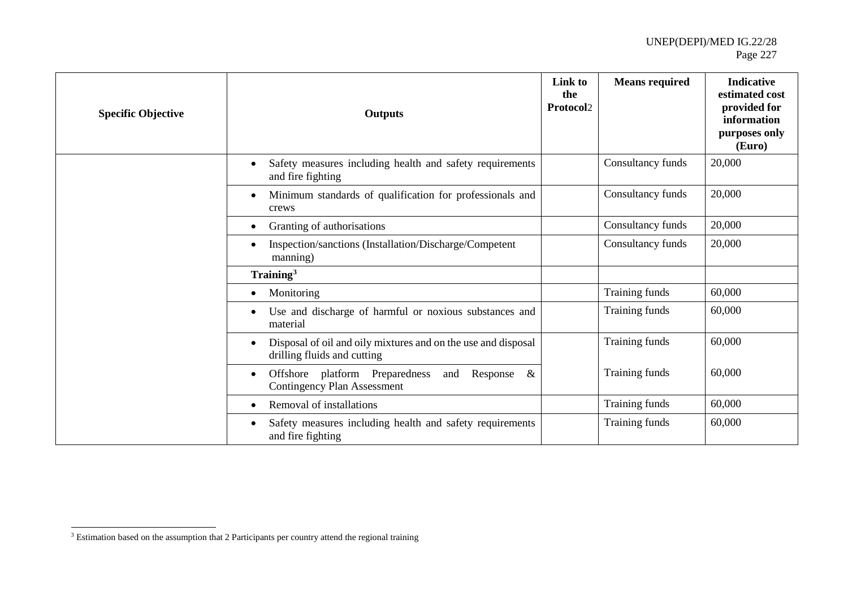<span id="page-16-0"></span>

| <b>Specific Objective</b> | <b>Outputs</b>                                                                                  | Link to<br>the<br><b>Protocol2</b> | <b>Means required</b> | <b>Indicative</b><br>estimated cost<br>provided for<br>information<br>purposes only<br>(Euro) |
|---------------------------|-------------------------------------------------------------------------------------------------|------------------------------------|-----------------------|-----------------------------------------------------------------------------------------------|
|                           | Safety measures including health and safety requirements<br>and fire fighting                   |                                    | Consultancy funds     | 20,000                                                                                        |
|                           | Minimum standards of qualification for professionals and<br>crews                               |                                    | Consultancy funds     | 20,000                                                                                        |
|                           | Granting of authorisations                                                                      |                                    | Consultancy funds     | 20,000                                                                                        |
|                           | Inspection/sanctions (Installation/Discharge/Competent<br>manning)                              |                                    | Consultancy funds     | 20,000                                                                                        |
|                           | Training <sup>3</sup>                                                                           |                                    |                       |                                                                                               |
|                           | Monitoring                                                                                      |                                    | Training funds        | 60,000                                                                                        |
|                           | Use and discharge of harmful or noxious substances and<br>material                              |                                    | Training funds        | 60,000                                                                                        |
|                           | Disposal of oil and oily mixtures and on the use and disposal<br>drilling fluids and cutting    |                                    | Training funds        | 60,000                                                                                        |
|                           | Offshore platform Preparedness<br>Response<br>$\&$<br>and<br><b>Contingency Plan Assessment</b> |                                    | Training funds        | 60,000                                                                                        |
|                           | Removal of installations                                                                        |                                    | Training funds        | 60,000                                                                                        |
|                           | Safety measures including health and safety requirements<br>and fire fighting                   |                                    | Training funds        | 60,000                                                                                        |

<sup>&</sup>lt;sup>3</sup> Estimation based on the assumption that 2 Participants per country attend the regional training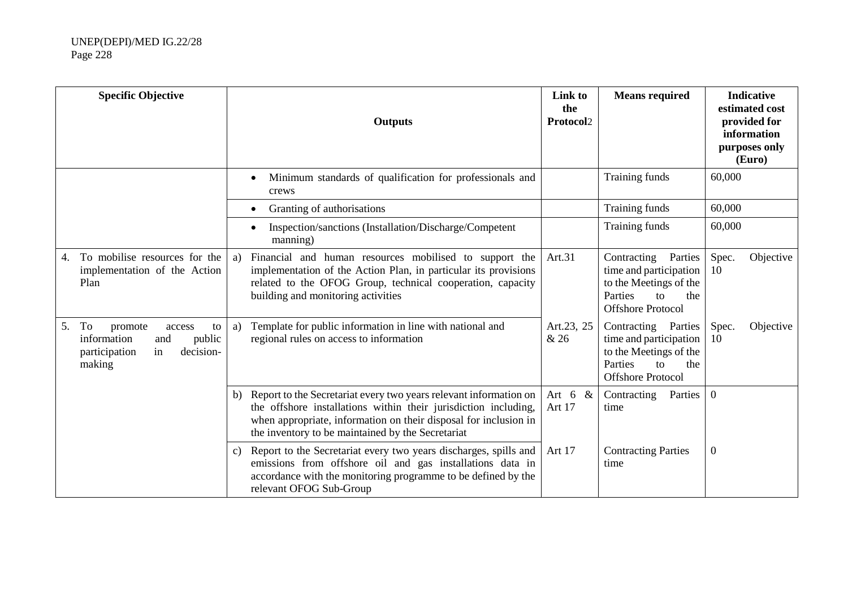|    | <b>Specific Objective</b>                                                                                   |    | <b>Outputs</b>                                                                                                                                                                                                                                                | Link to<br>the<br>Protocol2 | <b>Means required</b>                                                                                                                 |                | <b>Indicative</b><br>estimated cost<br>provided for<br>information<br>purposes only<br>(Euro) |
|----|-------------------------------------------------------------------------------------------------------------|----|---------------------------------------------------------------------------------------------------------------------------------------------------------------------------------------------------------------------------------------------------------------|-----------------------------|---------------------------------------------------------------------------------------------------------------------------------------|----------------|-----------------------------------------------------------------------------------------------|
|    |                                                                                                             |    | Minimum standards of qualification for professionals and<br>crews                                                                                                                                                                                             |                             | Training funds                                                                                                                        | 60,000         |                                                                                               |
|    |                                                                                                             |    | Granting of authorisations                                                                                                                                                                                                                                    |                             | Training funds                                                                                                                        | 60,000         |                                                                                               |
|    |                                                                                                             |    | Inspection/sanctions (Installation/Discharge/Competent<br>manning)                                                                                                                                                                                            |                             | Training funds                                                                                                                        | 60,000         |                                                                                               |
| 4. | To mobilise resources for the<br>implementation of the Action<br>Plan                                       | a) | Financial and human resources mobilised to support the<br>implementation of the Action Plan, in particular its provisions<br>related to the OFOG Group, technical cooperation, capacity<br>building and monitoring activities                                 | Art.31                      | Contracting<br>Parties<br>time and participation<br>to the Meetings of the<br>Parties<br>to<br>the<br><b>Offshore Protocol</b>        | Spec.<br>10    | Objective                                                                                     |
| 5. | To<br>promote<br>access<br>to<br>information<br>public<br>and<br>decision-<br>participation<br>in<br>making | a) | Template for public information in line with national and<br>regional rules on access to information                                                                                                                                                          | Art.23, 25<br>& 26          | Contracting Parties<br>time and participation<br>to the Meetings of the<br>Parties<br>the<br>$\mathbf{t}$<br><b>Offshore Protocol</b> | Spec.<br>10    | Objective                                                                                     |
|    |                                                                                                             | b) | Report to the Secretariat every two years relevant information on<br>the offshore installations within their jurisdiction including,<br>when appropriate, information on their disposal for inclusion in<br>the inventory to be maintained by the Secretariat | Art $6 &$<br>Art 17         | Contracting<br>Parties<br>time                                                                                                        | $\overline{0}$ |                                                                                               |
|    |                                                                                                             | c) | Report to the Secretariat every two years discharges, spills and<br>emissions from offshore oil and gas installations data in<br>accordance with the monitoring programme to be defined by the<br>relevant OFOG Sub-Group                                     | Art 17                      | <b>Contracting Parties</b><br>time                                                                                                    | $\overline{0}$ |                                                                                               |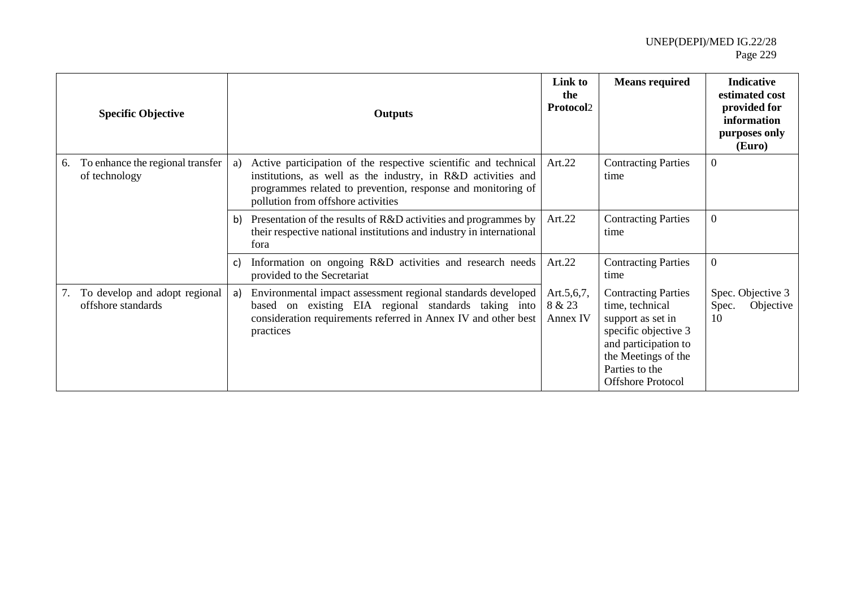|    | <b>Specific Objective</b>                           |    | <b>Outputs</b>                                                                                                                                                                                                                        | Link to<br>the<br><b>Protocol2</b>   | <b>Means required</b>                                                                                                                                                                   | <b>Indicative</b><br>estimated cost<br>provided for<br>information<br>purposes only<br>(Euro) |
|----|-----------------------------------------------------|----|---------------------------------------------------------------------------------------------------------------------------------------------------------------------------------------------------------------------------------------|--------------------------------------|-----------------------------------------------------------------------------------------------------------------------------------------------------------------------------------------|-----------------------------------------------------------------------------------------------|
| 6. | To enhance the regional transfer<br>of technology   | a) | Active participation of the respective scientific and technical<br>institutions, as well as the industry, in R&D activities and<br>programmes related to prevention, response and monitoring of<br>pollution from offshore activities | Art. $22$                            | <b>Contracting Parties</b><br>time                                                                                                                                                      | $\overline{0}$                                                                                |
|    |                                                     | b) | Presentation of the results of R&D activities and programmes by<br>their respective national institutions and industry in international<br>fora                                                                                       | Art.22                               | <b>Contracting Parties</b><br>time                                                                                                                                                      | $\overline{0}$                                                                                |
|    |                                                     | c) | Information on ongoing R&D activities and research needs<br>provided to the Secretariat                                                                                                                                               | Art.22                               | <b>Contracting Parties</b><br>time                                                                                                                                                      | $\overline{0}$                                                                                |
| 7. | To develop and adopt regional<br>offshore standards | a) | Environmental impact assessment regional standards developed<br>based on existing EIA regional standards taking into<br>consideration requirements referred in Annex IV and other best<br>practices                                   | Art. $5,6,7$ ,<br>8 & 23<br>Annex IV | <b>Contracting Parties</b><br>time, technical<br>support as set in<br>specific objective 3<br>and participation to<br>the Meetings of the<br>Parties to the<br><b>Offshore Protocol</b> | Spec. Objective 3<br>Objective<br>Spec.<br>10                                                 |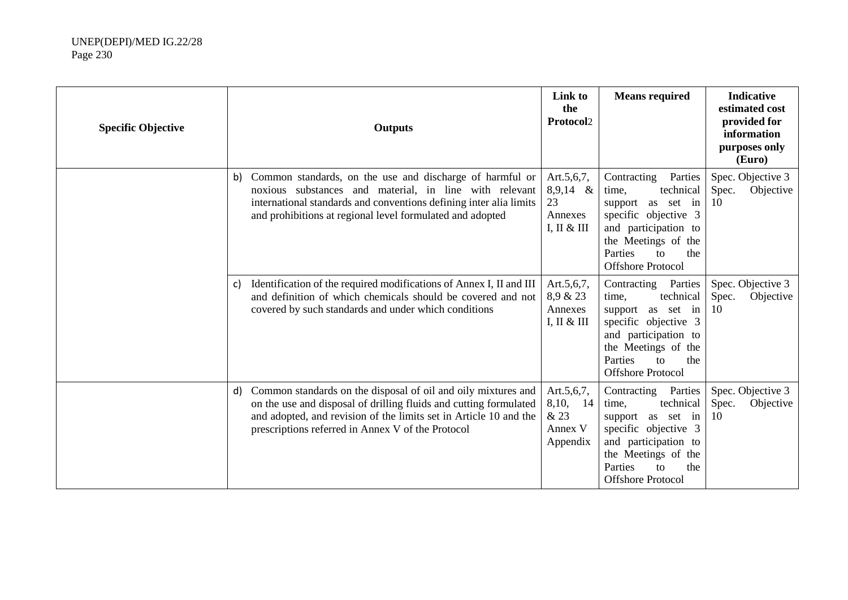| <b>Specific Objective</b> | <b>Outputs</b>                                                                                                                                                                                                                                                     | Link to<br>the<br>Protocol2                              | <b>Means required</b>                                                                                                                                                                                      | <b>Indicative</b><br>estimated cost<br>provided for<br>information<br>purposes only<br>(Euro) |
|---------------------------|--------------------------------------------------------------------------------------------------------------------------------------------------------------------------------------------------------------------------------------------------------------------|----------------------------------------------------------|------------------------------------------------------------------------------------------------------------------------------------------------------------------------------------------------------------|-----------------------------------------------------------------------------------------------|
|                           | Common standards, on the use and discharge of harmful or<br>b)<br>noxious substances and material, in line with relevant<br>international standards and conventions defining inter alia limits<br>and prohibitions at regional level formulated and adopted        | Art.5,6,7,<br>$8,9,14$ &<br>23<br>Annexes<br>I, II & III | Contracting<br>Parties<br>technical<br>time,<br>support<br>as set in<br>specific objective 3<br>and participation to<br>the Meetings of the<br>Parties<br>the<br>to<br><b>Offshore Protocol</b>            | Spec. Objective 3<br>Spec.<br>Objective<br>10                                                 |
|                           | Identification of the required modifications of Annex I, II and III<br>C)<br>and definition of which chemicals should be covered and not<br>covered by such standards and under which conditions                                                                   | Art.5,6,7,<br>8,9 & 23<br>Annexes<br>I, II & III         | Parties<br>Contracting<br>technical<br>time,<br>support<br>as set in<br>specific objective 3<br>and participation to<br>the Meetings of the<br>Parties<br>the<br>tΩ<br><b>Offshore Protocol</b>            | Spec. Objective 3<br>Spec.<br>Objective<br>10                                                 |
|                           | Common standards on the disposal of oil and oily mixtures and<br>d)<br>on the use and disposal of drilling fluids and cutting formulated<br>and adopted, and revision of the limits set in Article 10 and the<br>prescriptions referred in Annex V of the Protocol | Art.5,6,7,<br>8,10, 14<br>& 23<br>Annex V<br>Appendix    | Parties<br>Contracting<br>technical<br>time,<br>as set in<br>support<br>specific objective 3<br>and participation to<br>the Meetings of the<br>Parties<br>the<br>$\mathsf{to}$<br><b>Offshore Protocol</b> | Spec. Objective 3<br>Objective<br>Spec.<br>10                                                 |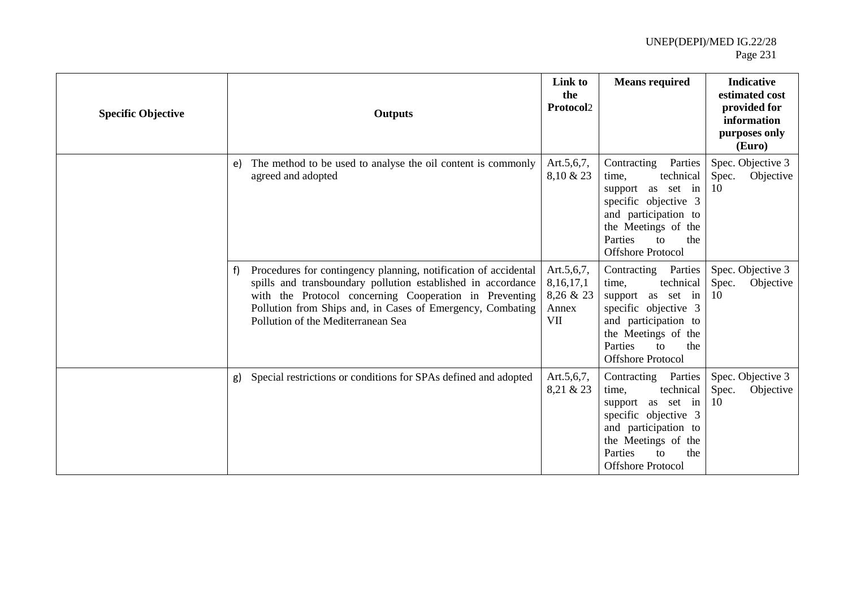| <b>Specific Objective</b> | <b>Outputs</b>                                                                                                                                                                                                                                                                                      | Link to<br>the<br>Protocol2                             | <b>Means required</b>                                                                                                                                                                                         | <b>Indicative</b><br>estimated cost<br>provided for<br>information<br>purposes only<br>(Euro) |
|---------------------------|-----------------------------------------------------------------------------------------------------------------------------------------------------------------------------------------------------------------------------------------------------------------------------------------------------|---------------------------------------------------------|---------------------------------------------------------------------------------------------------------------------------------------------------------------------------------------------------------------|-----------------------------------------------------------------------------------------------|
|                           | The method to be used to analyse the oil content is commonly<br>e)<br>agreed and adopted                                                                                                                                                                                                            | Art.5,6,7,<br>8,10 & 23                                 | Parties<br>Contracting<br>technical<br>time,<br>support as set in<br>specific objective 3<br>and participation to<br>the Meetings of the<br>Parties<br>to<br>the<br><b>Offshore Protocol</b>                  | Spec. Objective 3<br>Spec.<br>Objective<br>10                                                 |
|                           | Procedures for contingency planning, notification of accidental<br>f)<br>spills and transboundary pollution established in accordance<br>with the Protocol concerning Cooperation in Preventing<br>Pollution from Ships and, in Cases of Emergency, Combating<br>Pollution of the Mediterranean Sea | Art.5,6,7,<br>8, 16, 17, 1<br>8,26 & 23<br>Annex<br>VII | Contracting Parties<br>technical<br>time,<br>as set in<br>support<br>specific objective 3<br>and participation to<br>the Meetings of the<br>Parties<br>the<br>$\mathsf{f} \Omega$<br><b>Offshore Protocol</b> | Spec. Objective 3<br>Spec.<br>Objective<br>10                                                 |
|                           | Special restrictions or conditions for SPAs defined and adopted<br>g)                                                                                                                                                                                                                               | Art.5,6,7,<br>8,21 & 23                                 | Contracting Parties<br>technical<br>time.<br>support as set in<br>specific objective 3<br>and participation to<br>the Meetings of the<br>Parties<br>the<br>$\mathsf{to}$<br><b>Offshore Protocol</b>          | Spec. Objective 3<br>Spec.<br>Objective<br>10                                                 |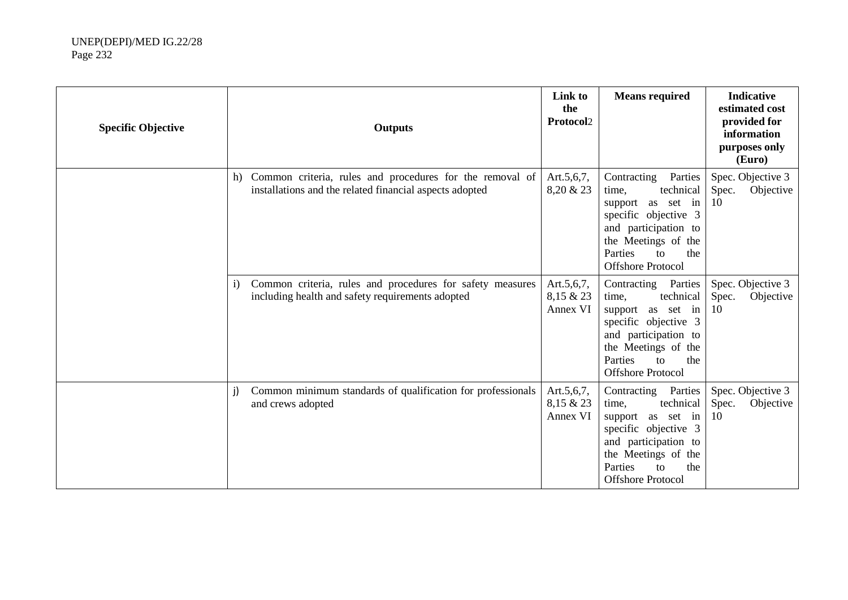| <b>Specific Objective</b> | <b>Outputs</b>                                                                                                                | Link to<br>the<br>Protocol2         | <b>Means required</b>                                                                                                                                                                                      | <b>Indicative</b><br>estimated cost<br>provided for<br>information<br>purposes only<br>(Euro) |
|---------------------------|-------------------------------------------------------------------------------------------------------------------------------|-------------------------------------|------------------------------------------------------------------------------------------------------------------------------------------------------------------------------------------------------------|-----------------------------------------------------------------------------------------------|
|                           | Common criteria, rules and procedures for the removal of<br>h)<br>installations and the related financial aspects adopted     | Art. $5,6,7$ ,<br>8,20 & 23         | Contracting<br>Parties<br>technical<br>time,<br>as set in<br>support<br>specific objective 3<br>and participation to<br>the Meetings of the<br>Parties<br>the<br>to<br><b>Offshore Protocol</b>            | Spec. Objective 3<br>Spec.<br>Objective<br>10                                                 |
|                           | Common criteria, rules and procedures for safety measures<br>$\mathbf{i}$<br>including health and safety requirements adopted | Art.5,6,7,<br>8,15 & 23<br>Annex VI | Parties<br>Contracting<br>technical<br>time,<br>as set in<br>support<br>specific objective 3<br>and participation to<br>the Meetings of the<br>Parties<br>the<br>$\mathsf{to}$<br><b>Offshore Protocol</b> | Spec. Objective 3<br>Spec.<br>Objective<br>10                                                 |
|                           | Common minimum standards of qualification for professionals<br>j)<br>and crews adopted                                        | Art.5,6,7,<br>8,15 & 23<br>Annex VI | Parties<br>Contracting<br>technical<br>time,<br>support<br>as set in<br>specific objective 3<br>and participation to<br>the Meetings of the<br>Parties<br>the<br>to<br><b>Offshore Protocol</b>            | Spec. Objective 3<br>Objective<br>Spec.<br>10                                                 |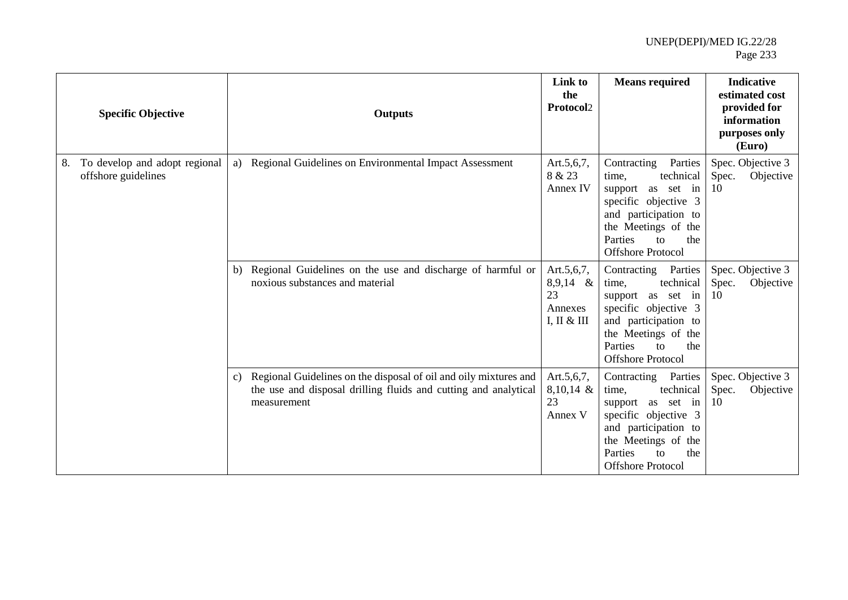|    | <b>Specific Objective</b>                            |               | <b>Outputs</b>                                                                                                                                     | Link to<br>the<br>Protocol2                              | <b>Means required</b>                                                                                                                                                                                      | <b>Indicative</b><br>estimated cost<br>provided for<br>information<br>purposes only<br>(Euro) |
|----|------------------------------------------------------|---------------|----------------------------------------------------------------------------------------------------------------------------------------------------|----------------------------------------------------------|------------------------------------------------------------------------------------------------------------------------------------------------------------------------------------------------------------|-----------------------------------------------------------------------------------------------|
| 8. | To develop and adopt regional<br>offshore guidelines | a)            | Regional Guidelines on Environmental Impact Assessment                                                                                             | Art.5,6,7,<br>8 & 23<br>Annex IV                         | Contracting<br>Parties<br>technical<br>time,<br>as set in<br>support<br>specific objective 3<br>and participation to<br>the Meetings of the<br>Parties<br>the<br>tΩ<br><b>Offshore Protocol</b>            | Spec. Objective 3<br>Spec.<br>Objective<br>10                                                 |
|    |                                                      | b)            | Regional Guidelines on the use and discharge of harmful or<br>noxious substances and material                                                      | Art.5,6,7,<br>$8,9,14$ &<br>23<br>Annexes<br>I, II & III | Parties<br>Contracting<br>technical<br>time,<br>as set in<br>support<br>specific objective 3<br>and participation to<br>the Meetings of the<br>Parties<br>the<br>$\mathsf{to}$<br><b>Offshore Protocol</b> | Spec. Objective 3<br>Objective<br>Spec.<br>10                                                 |
|    |                                                      | $\mathbf{c})$ | Regional Guidelines on the disposal of oil and oily mixtures and<br>the use and disposal drilling fluids and cutting and analytical<br>measurement | Art.5,6,7,<br>8,10,14 &<br>23<br>Annex V                 | Contracting Parties<br>technical<br>time,<br>as set in<br>support<br>specific objective 3<br>and participation to<br>the Meetings of the<br>Parties<br>the<br>to<br><b>Offshore Protocol</b>               | Spec. Objective 3<br>Spec.<br>Objective<br>10                                                 |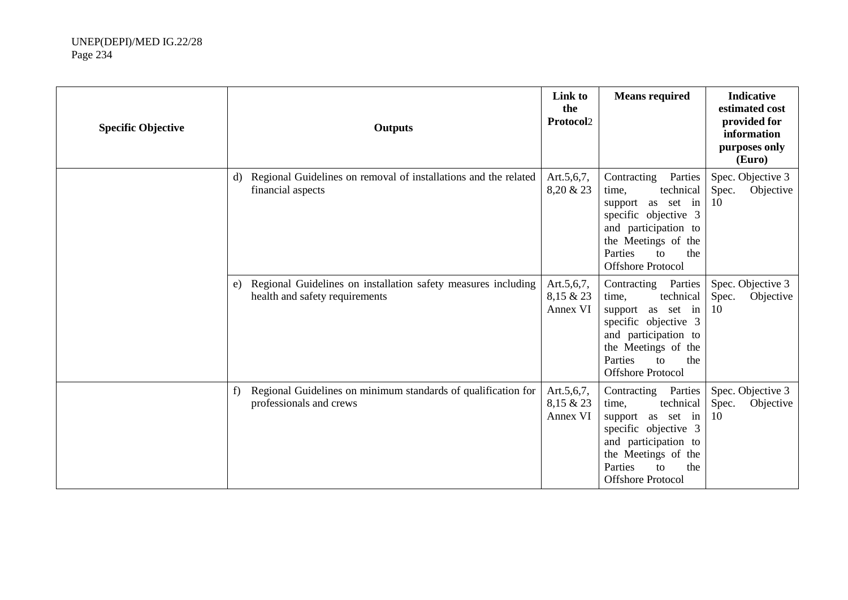| <b>Specific Objective</b> | <b>Outputs</b>                                                                                        | Link to<br>the<br>Protocol2             | <b>Means required</b>                                                                                                                                                                                    | <b>Indicative</b><br>estimated cost<br>provided for<br>information<br>purposes only<br>(Euro) |
|---------------------------|-------------------------------------------------------------------------------------------------------|-----------------------------------------|----------------------------------------------------------------------------------------------------------------------------------------------------------------------------------------------------------|-----------------------------------------------------------------------------------------------|
|                           | Regional Guidelines on removal of installations and the related<br>d)<br>financial aspects            | Art.5,6,7,<br>8,20 & 23                 | Contracting<br>Parties<br>technical<br>time,<br>support as set in<br>specific objective 3<br>and participation to<br>the Meetings of the<br>Parties<br>the<br>$\mathsf{to}$<br><b>Offshore Protocol</b>  | Spec. Objective 3<br>Spec.<br>Objective<br>10                                                 |
|                           | Regional Guidelines on installation safety measures including<br>e)<br>health and safety requirements | Art.5,6,7,<br>8,15 & 23<br>Annex VI     | Parties<br>Contracting<br>technical<br>time,<br>support as set in<br>specific objective 3<br>and participation to<br>the Meetings of the<br>Parties<br>the<br>$\mathbf{t}$<br><b>Offshore Protocol</b>   | Spec. Objective 3<br>Spec.<br>Objective<br>10                                                 |
|                           | Regional Guidelines on minimum standards of qualification for<br>f<br>professionals and crews         | Art. $5,6,7$ ,<br>8,15 & 23<br>Annex VI | Parties<br>Contracting<br>technical<br>time,<br>support as set in<br>specific objective 3<br>and participation to<br>the Meetings of the<br>Parties<br>the<br>$\overline{f}$<br><b>Offshore Protocol</b> | Spec. Objective 3<br>Spec.<br>Objective<br>10                                                 |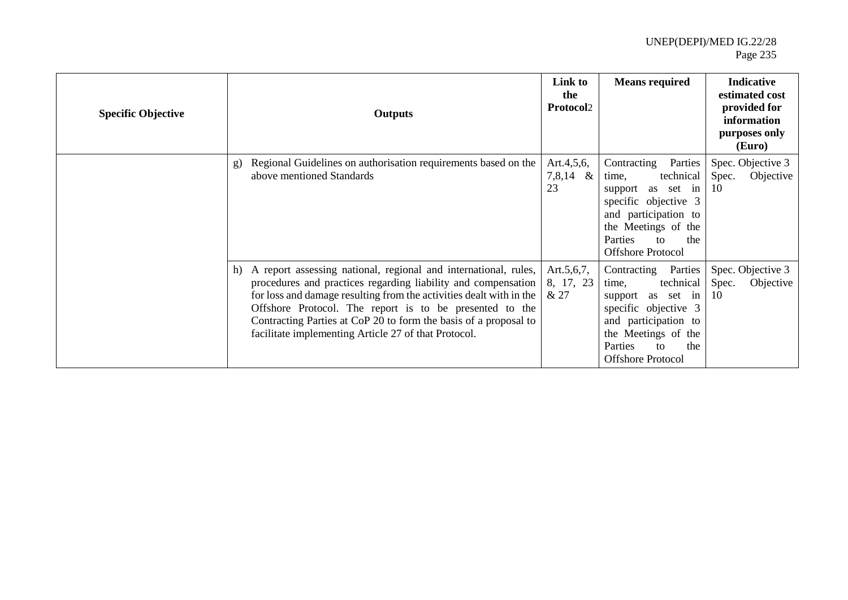| <b>Specific Objective</b> | <b>Outputs</b>                                                                                                                                                                                                                                                                                                                                                                                       | Link to<br>the<br>Protocol2         | <b>Means required</b>                                                                                                                                                                           | <b>Indicative</b><br>estimated cost<br>provided for<br>information<br>purposes only<br>(Euro) |
|---------------------------|------------------------------------------------------------------------------------------------------------------------------------------------------------------------------------------------------------------------------------------------------------------------------------------------------------------------------------------------------------------------------------------------------|-------------------------------------|-------------------------------------------------------------------------------------------------------------------------------------------------------------------------------------------------|-----------------------------------------------------------------------------------------------|
|                           | Regional Guidelines on authorisation requirements based on the<br>$\mathbf{g}$<br>above mentioned Standards                                                                                                                                                                                                                                                                                          | Art.4,5,6,<br>7,8,14<br>$\&$<br>23  | Parties<br>Contracting<br>technical<br>time,<br>as set in<br>support<br>specific objective 3<br>and participation to<br>the Meetings of the<br>Parties<br>the<br>to<br><b>Offshore Protocol</b> | Spec. Objective 3<br>Spec.<br>Objective<br>-10                                                |
|                           | A report assessing national, regional and international, rules,<br>h)<br>procedures and practices regarding liability and compensation<br>for loss and damage resulting from the activities dealt with in the<br>Offshore Protocol. The report is to be presented to the<br>Contracting Parties at CoP 20 to form the basis of a proposal to<br>facilitate implementing Article 27 of that Protocol. | Art. $5,6,7$ ,<br>8, 17, 23<br>& 27 | Contracting Parties<br>technical<br>time,<br>support<br>as set in<br>specific objective 3<br>and participation to<br>the Meetings of the<br>Parties<br>the<br>to<br><b>Offshore Protocol</b>    | Spec. Objective 3<br>Objective<br>Spec.<br>-10                                                |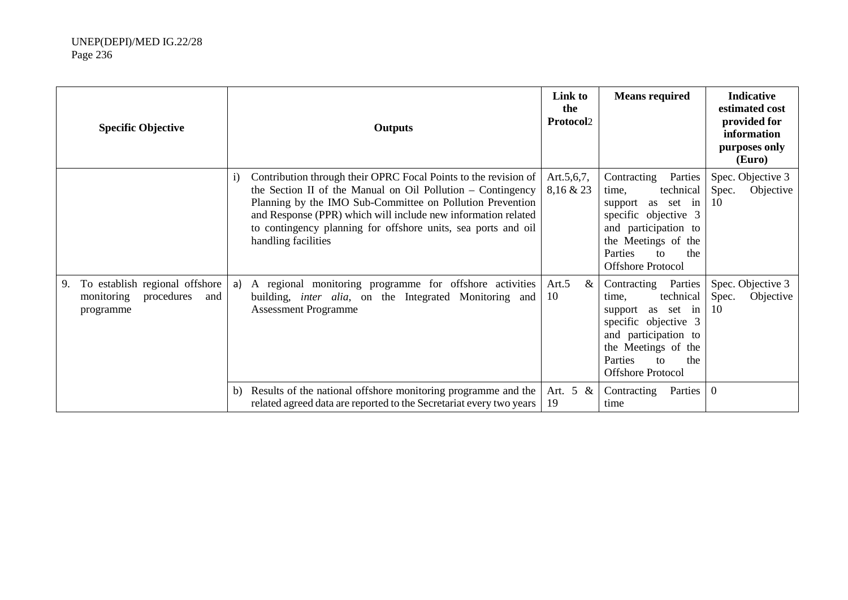| <b>Specific Objective</b>                                                            | <b>Outputs</b>                                                                                                                                                                                                                                                                                                                                                       | Link to<br>the<br><b>Protocol2</b> | <b>Means required</b>                                                                                                                                                                                             | <b>Indicative</b><br>estimated cost<br>provided for<br>information<br>purposes only<br>(Euro) |
|--------------------------------------------------------------------------------------|----------------------------------------------------------------------------------------------------------------------------------------------------------------------------------------------------------------------------------------------------------------------------------------------------------------------------------------------------------------------|------------------------------------|-------------------------------------------------------------------------------------------------------------------------------------------------------------------------------------------------------------------|-----------------------------------------------------------------------------------------------|
|                                                                                      | Contribution through their OPRC Focal Points to the revision of<br>$\mathbf{i}$<br>the Section II of the Manual on Oil Pollution – Contingency<br>Planning by the IMO Sub-Committee on Pollution Prevention<br>and Response (PPR) which will include new information related<br>to contingency planning for offshore units, sea ports and oil<br>handling facilities | Art. $5,6,7$ ,<br>8,16 & 23        | Parties<br>Contracting<br>technical<br>time,<br>support<br>as set in<br>specific objective 3<br>and participation to<br>the Meetings of the<br>Parties<br>the<br>to<br><b>Offshore Protocol</b>                   | Spec. Objective 3<br>Spec.<br>Objective<br>10                                                 |
| To establish regional offshore<br>9.<br>procedures<br>monitoring<br>and<br>programme | A regional monitoring programme for offshore activities<br>a)<br>building, inter alia, on the Integrated Monitoring and<br><b>Assessment Programme</b>                                                                                                                                                                                                               | Art.5<br>&<br>10                   | Parties<br>Contracting<br>technical<br>time.<br>as set in<br>support<br>specific objective 3<br>and participation to<br>the Meetings of the<br><b>Parties</b><br>the<br>$\mathsf{to}$<br><b>Offshore Protocol</b> | Spec. Objective 3<br>Objective<br>Spec.<br>10                                                 |
|                                                                                      | Results of the national offshore monitoring programme and the<br>b)<br>related agreed data are reported to the Secretariat every two years                                                                                                                                                                                                                           | Art. 5 &<br>19                     | Parties<br>Contracting<br>time                                                                                                                                                                                    | $\overline{0}$                                                                                |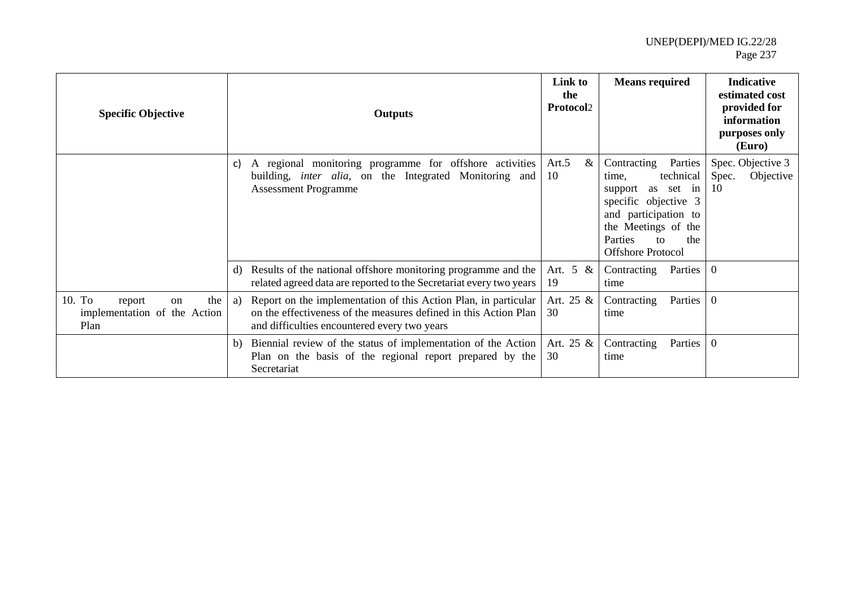| <b>Specific Objective</b>                                             |    | <b>Outputs</b>                                                                                                                                                                      | Link to<br>the<br><b>Protocol2</b> | <b>Means required</b>                                                                                                                                                                                            | <b>Indicative</b><br>estimated cost<br>provided for<br>information<br>purposes only<br>(Euro) |
|-----------------------------------------------------------------------|----|-------------------------------------------------------------------------------------------------------------------------------------------------------------------------------------|------------------------------------|------------------------------------------------------------------------------------------------------------------------------------------------------------------------------------------------------------------|-----------------------------------------------------------------------------------------------|
|                                                                       | C) | A regional monitoring programme for offshore activities<br>building, <i>inter alia</i> , on the Integrated Monitoring and<br><b>Assessment Programme</b>                            | $\&$<br>Art.5<br>10                | Parties<br>Contracting<br>technical<br>time.<br>as<br>set<br>support<br>in<br>specific objective 3<br>and participation to<br>the Meetings of the<br>Parties<br>the<br>$\mathsf{to}$<br><b>Offshore Protocol</b> | Spec. Objective 3<br>Spec.<br>Objective<br>10                                                 |
|                                                                       | d) | Results of the national offshore monitoring programme and the<br>related agreed data are reported to the Secretariat every two years                                                | Art. 5 &<br>19                     | Parties  <br>Contracting<br>time                                                                                                                                                                                 | $\overline{0}$                                                                                |
| 10. To<br>the<br>report<br>on<br>implementation of the Action<br>Plan | a) | Report on the implementation of this Action Plan, in particular<br>on the effectiveness of the measures defined in this Action Plan<br>and difficulties encountered every two years | Art. 25 &<br>30                    | Contracting<br>Parties<br>time                                                                                                                                                                                   | $\boldsymbol{0}$                                                                              |
|                                                                       | b) | Biennial review of the status of implementation of the Action<br>Plan on the basis of the regional report prepared by the<br>Secretariat                                            | Art. 25 &<br>30                    | Contracting<br>Parties<br>time                                                                                                                                                                                   | $\boldsymbol{0}$                                                                              |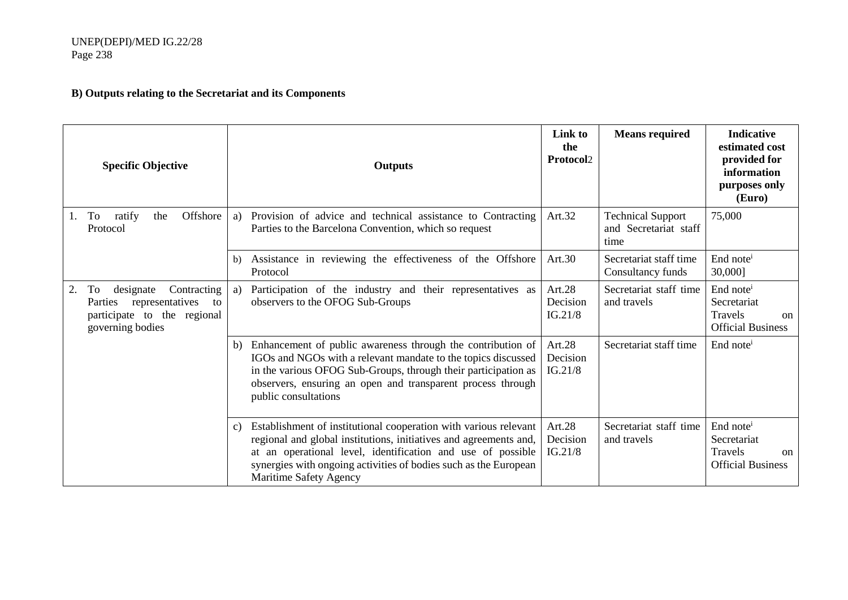# **B) Outputs relating to the Secretariat and its Components**

|    | <b>Specific Objective</b>                                                                                             |    | <b>Outputs</b>                                                                                                                                                                                                                                                                                     | Link to<br>the<br>Protocol2   | <b>Means required</b>                                     | <b>Indicative</b><br>estimated cost<br>provided for<br>information<br>purposes only<br>(Euro)             |
|----|-----------------------------------------------------------------------------------------------------------------------|----|----------------------------------------------------------------------------------------------------------------------------------------------------------------------------------------------------------------------------------------------------------------------------------------------------|-------------------------------|-----------------------------------------------------------|-----------------------------------------------------------------------------------------------------------|
| 1. | Offshore<br>ratify<br>the<br>To<br>Protocol                                                                           | a) | Provision of advice and technical assistance to Contracting<br>Parties to the Barcelona Convention, which so request                                                                                                                                                                               | Art.32                        | <b>Technical Support</b><br>and Secretariat staff<br>time | 75,000                                                                                                    |
|    |                                                                                                                       | b) | Assistance in reviewing the effectiveness of the Offshore<br>Protocol                                                                                                                                                                                                                              | Art.30                        | Secretariat staff time<br>Consultancy funds               | End note <sup>i</sup><br>30,0001                                                                          |
| 2. | Contracting<br>designate<br>To<br>representatives<br>Parties<br>to<br>participate to the regional<br>governing bodies | a) | Participation of the industry and their representatives as<br>observers to the OFOG Sub-Groups                                                                                                                                                                                                     | Art.28<br>Decision<br>IG.21/8 | Secretariat staff time<br>and travels                     | End note <sup>i</sup><br>Secretariat<br>Travels<br><sub>on</sub><br><b>Official Business</b>              |
|    |                                                                                                                       | b) | Enhancement of public awareness through the contribution of<br>IGOs and NGOs with a relevant mandate to the topics discussed<br>in the various OFOG Sub-Groups, through their participation as<br>observers, ensuring an open and transparent process through<br>public consultations              | Art.28<br>Decision<br>IG.21/8 | Secretariat staff time                                    | End note <sup>i</sup>                                                                                     |
|    |                                                                                                                       | c) | Establishment of institutional cooperation with various relevant<br>regional and global institutions, initiatives and agreements and,<br>at an operational level, identification and use of possible<br>synergies with ongoing activities of bodies such as the European<br>Maritime Safety Agency | Art.28<br>Decision<br>IG.21/8 | Secretariat staff time<br>and travels                     | End note <sup><math>i</math></sup><br>Secretariat<br>Travels<br><sub>on</sub><br><b>Official Business</b> |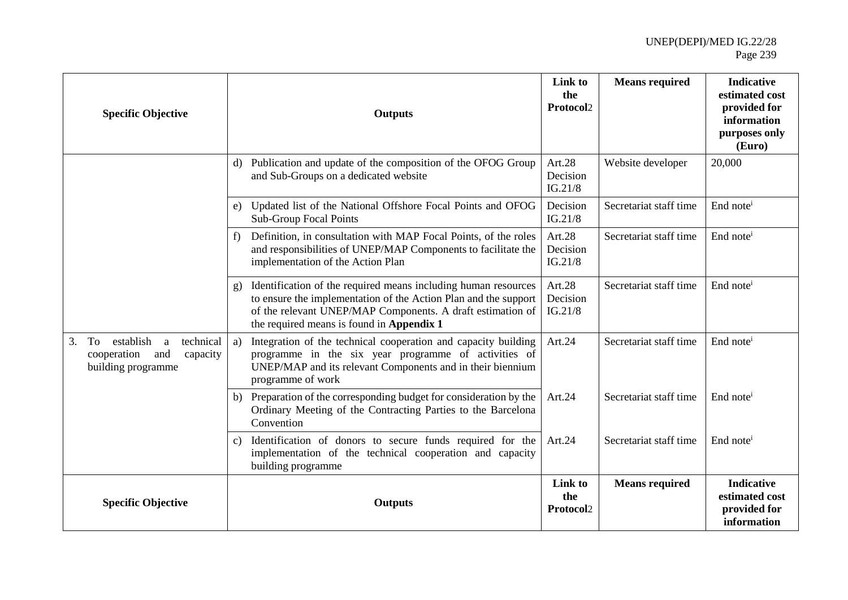| <b>Specific Objective</b>                                                                       | <b>Outputs</b>                                                                                                                                                                                                                                               | Link to<br>the<br>Protocol2      | <b>Means required</b>  | <b>Indicative</b><br>estimated cost<br>provided for<br>information<br>purposes only<br>(Euro) |
|-------------------------------------------------------------------------------------------------|--------------------------------------------------------------------------------------------------------------------------------------------------------------------------------------------------------------------------------------------------------------|----------------------------------|------------------------|-----------------------------------------------------------------------------------------------|
|                                                                                                 | d) Publication and update of the composition of the OFOG Group<br>and Sub-Groups on a dedicated website                                                                                                                                                      | Art.28<br>Decision<br>IG.21/8    | Website developer      | 20,000                                                                                        |
|                                                                                                 | e) Updated list of the National Offshore Focal Points and OFOG<br>Sub-Group Focal Points                                                                                                                                                                     | Decision<br>IG.21/8              | Secretariat staff time | End note <sup>i</sup>                                                                         |
|                                                                                                 | Definition, in consultation with MAP Focal Points, of the roles<br>f<br>and responsibilities of UNEP/MAP Components to facilitate the<br>implementation of the Action Plan                                                                                   | Art. $28$<br>Decision<br>IG.21/8 | Secretariat staff time | End note <sup>i</sup>                                                                         |
|                                                                                                 | Identification of the required means including human resources<br>$\mathbf{g}$<br>to ensure the implementation of the Action Plan and the support<br>of the relevant UNEP/MAP Components. A draft estimation of<br>the required means is found in Appendix 1 | Art.28<br>Decision<br>IG.21/8    | Secretariat staff time | End note <sup><math>i</math></sup>                                                            |
| establish<br>technical<br>3.<br>To<br>a<br>and<br>cooperation<br>capacity<br>building programme | Integration of the technical cooperation and capacity building<br>a)<br>programme in the six year programme of activities of<br>UNEP/MAP and its relevant Components and in their biennium<br>programme of work                                              | Art.24                           | Secretariat staff time | End note <sup>i</sup>                                                                         |
|                                                                                                 | b) Preparation of the corresponding budget for consideration by the<br>Ordinary Meeting of the Contracting Parties to the Barcelona<br>Convention                                                                                                            | Art.24                           | Secretariat staff time | End note <sup>i</sup>                                                                         |
|                                                                                                 | c) Identification of donors to secure funds required for the<br>implementation of the technical cooperation and capacity<br>building programme                                                                                                               | Art.24                           | Secretariat staff time | End note <sup>i</sup>                                                                         |
| <b>Specific Objective</b>                                                                       | <b>Outputs</b>                                                                                                                                                                                                                                               | Link to<br>the<br>Protocol2      | <b>Means required</b>  | <b>Indicative</b><br>estimated cost<br>provided for<br>information                            |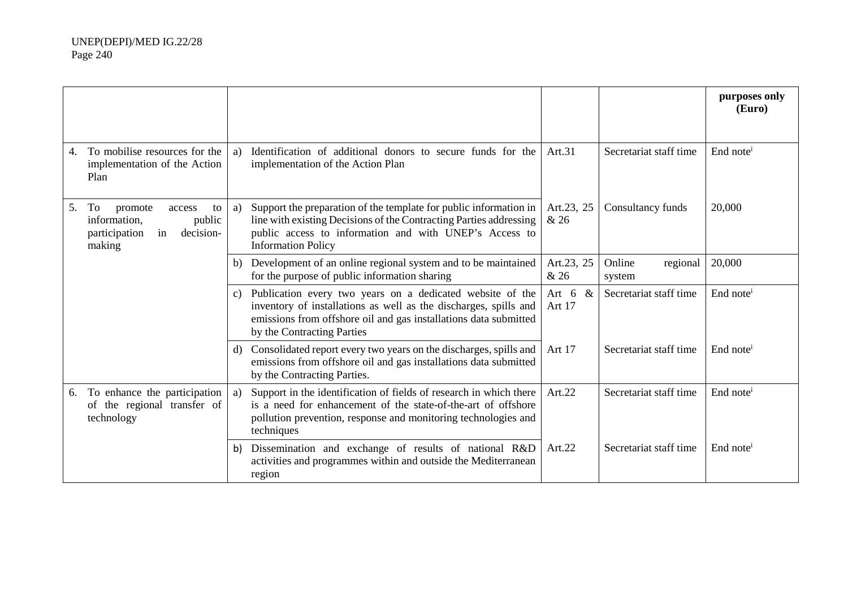|    |                                                                                                       |              |                                                                                                                                                                                                                                 |                      |                              | purposes only<br>(Euro) |
|----|-------------------------------------------------------------------------------------------------------|--------------|---------------------------------------------------------------------------------------------------------------------------------------------------------------------------------------------------------------------------------|----------------------|------------------------------|-------------------------|
| 4. | To mobilise resources for the<br>implementation of the Action<br>Plan                                 | a)           | Identification of additional donors to secure funds for the<br>implementation of the Action Plan                                                                                                                                | Art.31               | Secretariat staff time       | End note <sup>i</sup>   |
| 5. | To<br>promote<br>access<br>to<br>public<br>information,<br>participation<br>in<br>decision-<br>making | a)           | Support the preparation of the template for public information in<br>line with existing Decisions of the Contracting Parties addressing<br>public access to information and with UNEP's Access to<br><b>Information Policy</b>  | Art.23, 25<br>& 26   | Consultancy funds            | 20,000                  |
|    |                                                                                                       |              | b) Development of an online regional system and to be maintained<br>for the purpose of public information sharing                                                                                                               | Art.23, 25<br>& 26   | Online<br>regional<br>system | 20,000                  |
|    |                                                                                                       | $\mathbf{c}$ | Publication every two years on a dedicated website of the<br>inventory of installations as well as the discharges, spills and<br>emissions from offshore oil and gas installations data submitted<br>by the Contracting Parties | Art 6 $\&$<br>Art 17 | Secretariat staff time       | End note <sup>i</sup>   |
|    |                                                                                                       |              | d) Consolidated report every two years on the discharges, spills and<br>emissions from offshore oil and gas installations data submitted<br>by the Contracting Parties.                                                         | Art 17               | Secretariat staff time       | End note <sup>i</sup>   |
| 6. | To enhance the participation<br>of the regional transfer of<br>technology                             | a)           | Support in the identification of fields of research in which there<br>is a need for enhancement of the state-of-the-art of offshore<br>pollution prevention, response and monitoring technologies and<br>techniques             | Art.22               | Secretariat staff time       | End note <sup>i</sup>   |
|    |                                                                                                       | b)           | Dissemination and exchange of results of national R&D<br>activities and programmes within and outside the Mediterranean<br>region                                                                                               | Art.22               | Secretariat staff time       | End note <sup>i</sup>   |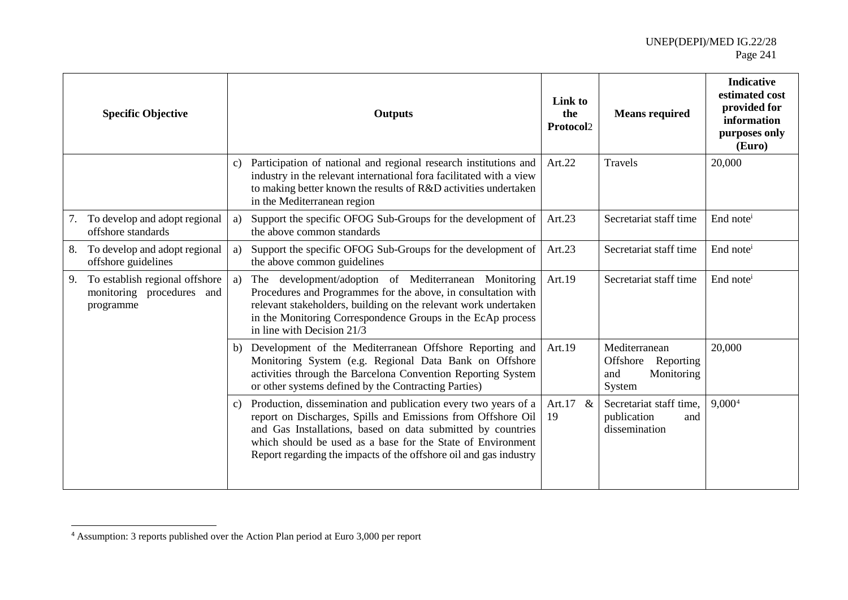# <span id="page-30-0"></span>UNEP(DEPI)/MED IG.22/28 Page 241

|    | <b>Specific Objective</b>                                                |    | <b>Outputs</b>                                                                                                                                                                                                                                                                                                                    | Link to<br>the<br>Protocol2 | <b>Means required</b>                                              | <b>Indicative</b><br>estimated cost<br>provided for<br>information<br>purposes only<br>(Euro) |
|----|--------------------------------------------------------------------------|----|-----------------------------------------------------------------------------------------------------------------------------------------------------------------------------------------------------------------------------------------------------------------------------------------------------------------------------------|-----------------------------|--------------------------------------------------------------------|-----------------------------------------------------------------------------------------------|
|    |                                                                          | C) | Participation of national and regional research institutions and<br>industry in the relevant international fora facilitated with a view<br>to making better known the results of R&D activities undertaken<br>in the Mediterranean region                                                                                         | Art.22                      | Travels                                                            | 20,000                                                                                        |
| 7. | To develop and adopt regional<br>offshore standards                      | a) | Support the specific OFOG Sub-Groups for the development of<br>the above common standards                                                                                                                                                                                                                                         | Art.23                      | Secretariat staff time                                             | End note <sup>i</sup>                                                                         |
|    | 8. To develop and adopt regional<br>offshore guidelines                  | a) | Support the specific OFOG Sub-Groups for the development of<br>the above common guidelines                                                                                                                                                                                                                                        | Art.23                      | Secretariat staff time                                             | End note <sup>i</sup>                                                                         |
| 9. | To establish regional offshore<br>monitoring procedures and<br>programme | a) | The development/adoption of Mediterranean Monitoring<br>Procedures and Programmes for the above, in consultation with<br>relevant stakeholders, building on the relevant work undertaken<br>in the Monitoring Correspondence Groups in the EcAp process<br>in line with Decision 21/3                                             | Art.19                      | Secretariat staff time                                             | End note <sup>i</sup>                                                                         |
|    |                                                                          |    | b) Development of the Mediterranean Offshore Reporting and<br>Monitoring System (e.g. Regional Data Bank on Offshore<br>activities through the Barcelona Convention Reporting System<br>or other systems defined by the Contracting Parties)                                                                                      | Art.19                      | Mediterranean<br>Offshore Reporting<br>Monitoring<br>and<br>System | 20,000                                                                                        |
|    |                                                                          | C) | Production, dissemination and publication every two years of a<br>report on Discharges, Spills and Emissions from Offshore Oil<br>and Gas Installations, based on data submitted by countries<br>which should be used as a base for the State of Environment<br>Report regarding the impacts of the offshore oil and gas industry | Art.17 $&$<br>19            | Secretariat staff time,<br>publication<br>and<br>dissemination     | 9,000 <sup>4</sup>                                                                            |

 $\overline{a}$ 

<sup>&</sup>lt;sup>4</sup> Assumption: 3 reports published over the Action Plan period at Euro 3,000 per report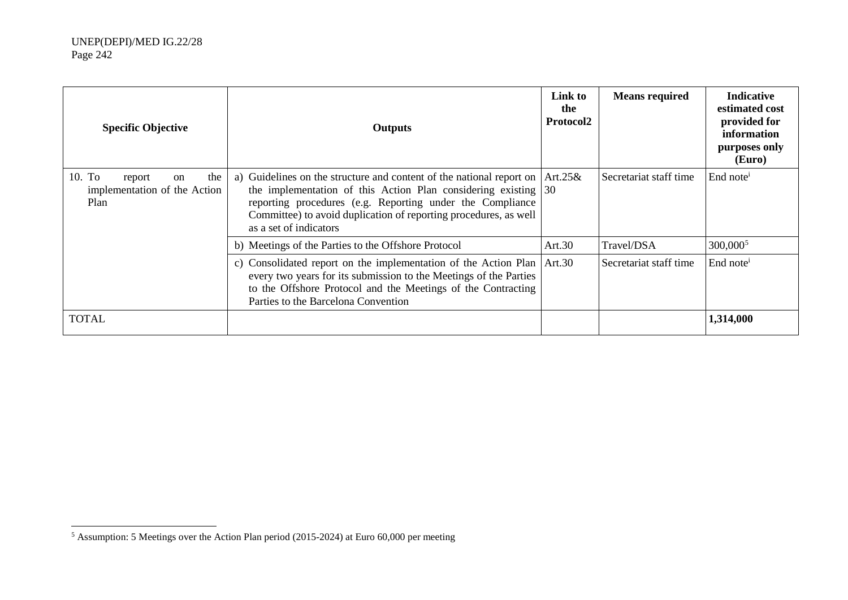<span id="page-31-0"></span>

| <b>Specific Objective</b>                                             | Protocol2<br><b>Outputs</b>                                                                                                                                                                                                                                                                                 |             | <b>Means required</b>  | <b>Indicative</b><br>estimated cost<br>provided for<br>information<br>purposes only<br>(Euro) |
|-----------------------------------------------------------------------|-------------------------------------------------------------------------------------------------------------------------------------------------------------------------------------------------------------------------------------------------------------------------------------------------------------|-------------|------------------------|-----------------------------------------------------------------------------------------------|
| 10. To<br>the<br>report<br>on<br>implementation of the Action<br>Plan | a) Guidelines on the structure and content of the national report on<br>the implementation of this Action Plan considering existing $ 30\rangle$<br>reporting procedures (e.g. Reporting under the Compliance<br>Committee) to avoid duplication of reporting procedures, as well<br>as a set of indicators | Art. $25\&$ | Secretariat staff time | $End$ note <sup>1</sup>                                                                       |
|                                                                       | b) Meetings of the Parties to the Offshore Protocol                                                                                                                                                                                                                                                         | Art. $30$   | Travel/DSA             | $300,000^5$                                                                                   |
|                                                                       | c) Consolidated report on the implementation of the Action Plan Art.30<br>every two years for its submission to the Meetings of the Parties<br>to the Offshore Protocol and the Meetings of the Contracting<br>Parties to the Barcelona Convention                                                          |             | Secretariat staff time | End note <sup>i</sup>                                                                         |
| <b>TOTAL</b>                                                          |                                                                                                                                                                                                                                                                                                             |             |                        | 1,314,000                                                                                     |

 <sup>5</sup> Assumption: 5 Meetings over the Action Plan period (2015-2024) at Euro 60,000 per meeting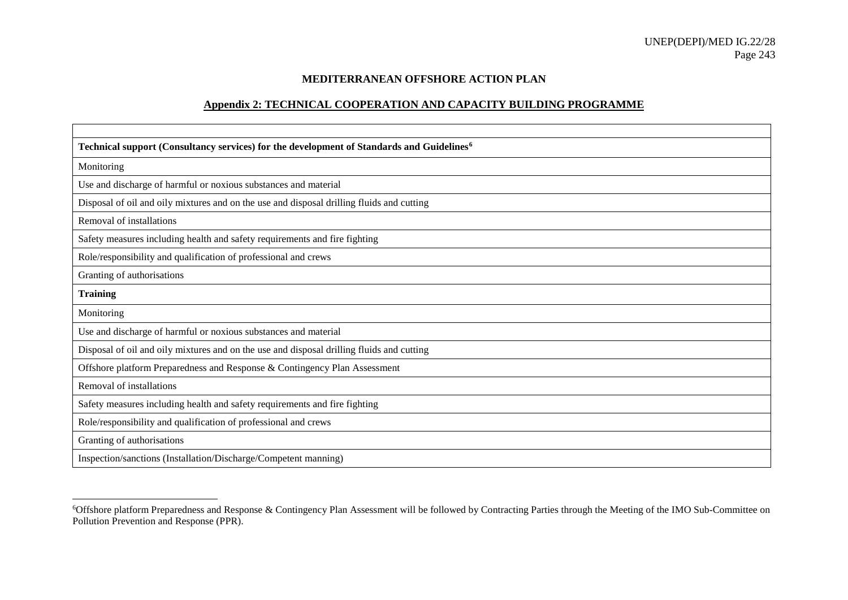### <span id="page-32-0"></span>**MEDITERRANEAN OFFSHORE ACTION PLAN**

### **Appendix 2: TECHNICAL COOPERATION AND CAPACITY BUILDING PROGRAMME**

| Technical support (Consultancy services) for the development of Standards and Guidelines <sup>6</sup> |
|-------------------------------------------------------------------------------------------------------|
| Monitoring                                                                                            |
| Use and discharge of harmful or noxious substances and material                                       |
| Disposal of oil and oily mixtures and on the use and disposal drilling fluids and cutting             |
| Removal of installations                                                                              |
| Safety measures including health and safety requirements and fire fighting                            |
| Role/responsibility and qualification of professional and crews                                       |
| Granting of authorisations                                                                            |
| <b>Training</b>                                                                                       |
| Monitoring                                                                                            |
| Use and discharge of harmful or noxious substances and material                                       |
| Disposal of oil and oily mixtures and on the use and disposal drilling fluids and cutting             |
| Offshore platform Preparedness and Response & Contingency Plan Assessment                             |
| Removal of installations                                                                              |
| Safety measures including health and safety requirements and fire fighting                            |
| Role/responsibility and qualification of professional and crews                                       |
| Granting of authorisations                                                                            |
| Inspection/sanctions (Installation/Discharge/Competent manning)                                       |

 <sup>6</sup> Offshore platform Preparedness and Response & Contingency Plan Assessment will be followed by Contracting Parties through the Meeting of the IMO Sub-Committee on Pollution Prevention and Response (PPR).